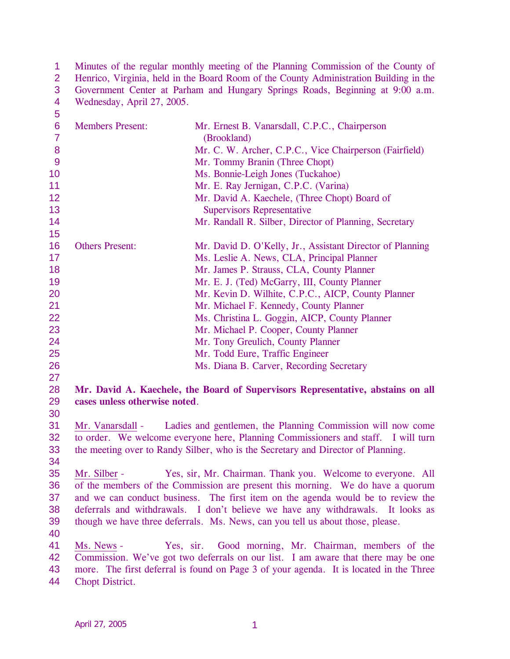1 2 3 4 Minutes of the regular monthly meeting of the Planning Commission of the County of Henrico, Virginia, held in the Board Room of the County Administration Building in the Government Center at Parham and Hungary Springs Roads, Beginning at 9:00 a.m. Wednesday, April 27, 2005.

| 5              |                               |                                                                                        |
|----------------|-------------------------------|----------------------------------------------------------------------------------------|
| $\bf 6$        | <b>Members Present:</b>       | Mr. Ernest B. Vanarsdall, C.P.C., Chairperson                                          |
| $\overline{7}$ |                               | (Brookland)                                                                            |
| 8              |                               | Mr. C. W. Archer, C.P.C., Vice Chairperson (Fairfield)                                 |
| 9              |                               | Mr. Tommy Branin (Three Chopt)                                                         |
| 10             |                               | Ms. Bonnie-Leigh Jones (Tuckahoe)                                                      |
| 11             |                               | Mr. E. Ray Jernigan, C.P.C. (Varina)                                                   |
| 12             |                               | Mr. David A. Kaechele, (Three Chopt) Board of                                          |
| 13             |                               | <b>Supervisors Representative</b>                                                      |
| 14             |                               | Mr. Randall R. Silber, Director of Planning, Secretary                                 |
| 15             |                               |                                                                                        |
| 16             | <b>Others Present:</b>        | Mr. David D. O'Kelly, Jr., Assistant Director of Planning                              |
| 17             |                               | Ms. Leslie A. News, CLA, Principal Planner                                             |
| 18             |                               | Mr. James P. Strauss, CLA, County Planner                                              |
| 19             |                               | Mr. E. J. (Ted) McGarry, III, County Planner                                           |
| 20             |                               | Mr. Kevin D. Wilhite, C.P.C., AICP, County Planner                                     |
| 21             |                               | Mr. Michael F. Kennedy, County Planner                                                 |
| 22             |                               | Ms. Christina L. Goggin, AICP, County Planner                                          |
| 23             |                               | Mr. Michael P. Cooper, County Planner                                                  |
| 24             |                               | Mr. Tony Greulich, County Planner                                                      |
| 25             |                               | Mr. Todd Eure, Traffic Engineer                                                        |
| 26             |                               | Ms. Diana B. Carver, Recording Secretary                                               |
| 27             |                               |                                                                                        |
| 28             |                               | Mr. David A. Kaechele, the Board of Supervisors Representative, abstains on all        |
| 29             | cases unless otherwise noted. |                                                                                        |
| 30             |                               |                                                                                        |
| 31             |                               | Mr. Vanarsdall - Ladies and gentlemen, the Planning Commission will now come           |
| 32             |                               | to order. We welcome everyone here, Planning Commissioners and staff. I will turn      |
| 33             |                               | the meeting over to Randy Silber, who is the Secretary and Director of Planning.       |
| 34             |                               |                                                                                        |
| 35             | Mr. Silber -                  | Yes, sir, Mr. Chairman. Thank you. Welcome to everyone. All                            |
| 36             |                               | of the members of the Commission are present this morning. We do have a quorum         |
| 37             |                               | and we can conduct business. The first item on the agenda would be to review the       |
| 38             |                               | deferrals and withdrawals. I don't believe we have any withdrawals. It looks as        |
| 39             |                               | though we have three deferrals. Ms. News, can you tell us about those, please.         |
| 40             |                               |                                                                                        |
| 41             | Ms. News -                    | Yes, sir. Good morning, Mr. Chairman, members of the                                   |
| 42             |                               | Commission. We've got two deferrals on our list. I am aware that there may be one      |
| 43             |                               | more. The first deferral is found on Page 3 of your agenda. It is located in the Three |
| 44             | Chopt District.               |                                                                                        |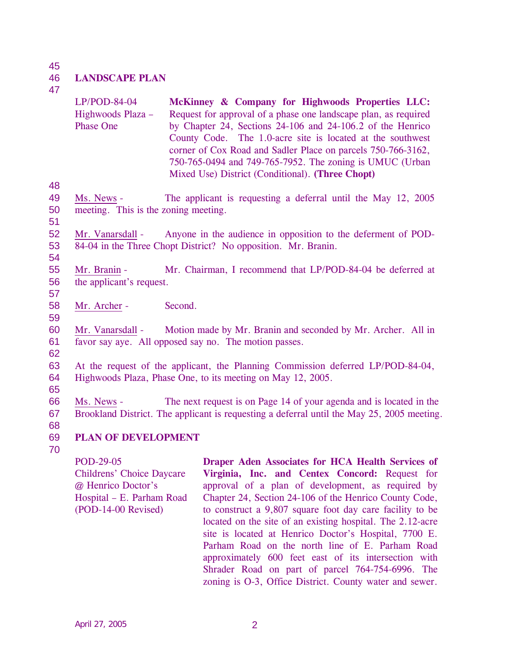45

### 46 **LANDSCAPE PLAN**

47

|                      | LP/POD-84-04<br>Highwoods Plaza -<br><b>Phase One</b>                                                                   | McKinney & Company for Highwoods Properties LLC:<br>Request for approval of a phase one landscape plan, as required<br>by Chapter 24, Sections 24-106 and 24-106.2 of the Henrico<br>County Code. The 1.0-acre site is located at the southwest<br>corner of Cox Road and Sadler Place on parcels 750-766-3162,<br>750-765-0494 and 749-765-7952. The zoning is UMUC (Urban<br>Mixed Use) District (Conditional). (Three Chopt) |
|----------------------|-------------------------------------------------------------------------------------------------------------------------|---------------------------------------------------------------------------------------------------------------------------------------------------------------------------------------------------------------------------------------------------------------------------------------------------------------------------------------------------------------------------------------------------------------------------------|
| 48<br>49<br>50       | Ms. News -<br>meeting. This is the zoning meeting.                                                                      | The applicant is requesting a deferral until the May 12, 2005                                                                                                                                                                                                                                                                                                                                                                   |
| 51<br>52<br>53<br>54 | Mr. Vanarsdall -                                                                                                        | Anyone in the audience in opposition to the deferment of POD-<br>84-04 in the Three Chopt District? No opposition. Mr. Branin.                                                                                                                                                                                                                                                                                                  |
| 55<br>56<br>57       | Mr. Branin -<br>the applicant's request.                                                                                | Mr. Chairman, I recommend that LP/POD-84-04 be deferred at                                                                                                                                                                                                                                                                                                                                                                      |
| 58<br>59             | Mr. Archer -                                                                                                            | Second.                                                                                                                                                                                                                                                                                                                                                                                                                         |
| 60<br>61<br>62       | Mr. Vanarsdall -                                                                                                        | Motion made by Mr. Branin and seconded by Mr. Archer. All in<br>favor say aye. All opposed say no. The motion passes.                                                                                                                                                                                                                                                                                                           |
| 63<br>64<br>65       |                                                                                                                         | At the request of the applicant, the Planning Commission deferred LP/POD-84-04,<br>Highwoods Plaza, Phase One, to its meeting on May 12, 2005.                                                                                                                                                                                                                                                                                  |
| 66<br>67<br>68       | Ms. News -                                                                                                              | The next request is on Page 14 of your agenda and is located in the<br>Brookland District. The applicant is requesting a deferral until the May 25, 2005 meeting.                                                                                                                                                                                                                                                               |
| 69<br>70             | <b>PLAN OF DEVELOPMENT</b>                                                                                              |                                                                                                                                                                                                                                                                                                                                                                                                                                 |
|                      | POD-29-05<br><b>Childrens' Choice Daycare</b><br>@ Henrico Doctor's<br>Hospital - E. Parham Road<br>(POD-14-00 Revised) | Draper Aden Associates for HCA Health Services of<br>Virginia, Inc. and Centex Concord: Request for<br>approval of a plan of development, as required by<br>Chapter 24, Section 24-106 of the Henrico County Code,<br>to construct a 9,807 square foot day care facility to be<br>located on the site of an existing hospital. The 2.12-acre<br>site is located at Henrico Doctor's Hospital, 7700 E.                           |

Parham Road on the north line of E. Parham Road approximately 600 feet east of its intersection with Shrader Road on part of parcel 764-754-6996. The zoning is O-3, Office District. County water and sewer.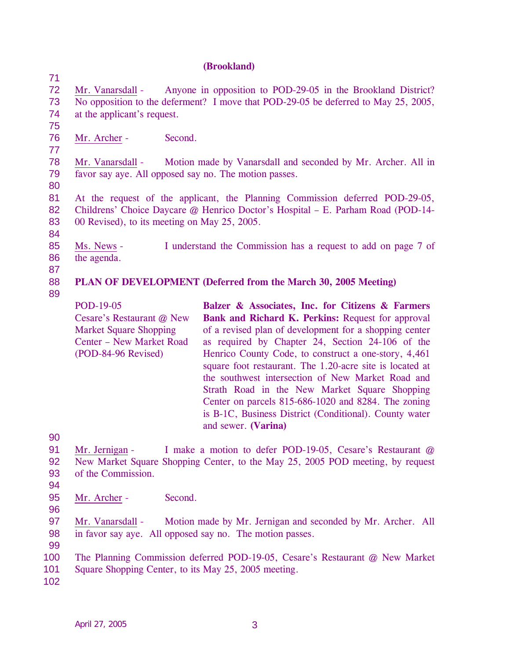## **(Brookland)**

72 73 74 Mr. Vanarsdall - Anyone in opposition to POD-29-05 in the Brookland District? No opposition to the deferment? I move that POD-29-05 be deferred to May 25, 2005, at the applicant's request.

76 Mr. Archer - Second.

78 79 Mr. Vanarsdall - Motion made by Vanarsdall and seconded by Mr. Archer. All in favor say aye. All opposed say no. The motion passes.

80

71

75

77

81 82 83 At the request of the applicant, the Planning Commission deferred POD-29-05, Childrens' Choice Daycare @ Henrico Doctor's Hospital – E. Parham Road (POD-14- 00 Revised), to its meeting on May 25, 2005.

84

85 86 Ms. News - I understand the Commission has a request to add on page 7 of the agenda.

87

### 88 **PLAN OF DEVELOPMENT (Deferred from the March 30, 2005 Meeting)**

89

POD-19-05 Cesare's Restaurant @ New Market Square Shopping Center – New Market Road (POD-84-96 Revised) **Balzer & Associates, Inc. for Citizens & Farmers**  Bank and Richard K. Perkins: Request for approval of a revised plan of development for a shopping center as required by Chapter 24, Section 24-106 of the Henrico County Code, to construct a one-story, 4,461 square foot restaurant. The 1.20-acre site is located at the southwest intersection of New Market Road and Strath Road in the New Market Square Shopping Center on parcels 815-686-1020 and 8284. The zoning

90

and sewer. **(Varina)** 

is B-1C, Business District (Conditional). County water

- 94
- 95 Mr. Archer - Second.
- 96
- 97 98 99 Mr. Vanarsdall - Motion made by Mr. Jernigan and seconded by Mr. Archer. All in favor say aye. All opposed say no. The motion passes.
- 100 The Planning Commission deferred POD-19-05, Cesare's Restaurant @ New Market
- 101 Square Shopping Center, to its May 25, 2005 meeting.
- 102

<sup>91</sup>  92 93 Mr. Jernigan - I make a motion to defer POD-19-05, Cesare's Restaurant @ New Market Square Shopping Center, to the May 25, 2005 POD meeting, by request of the Commission.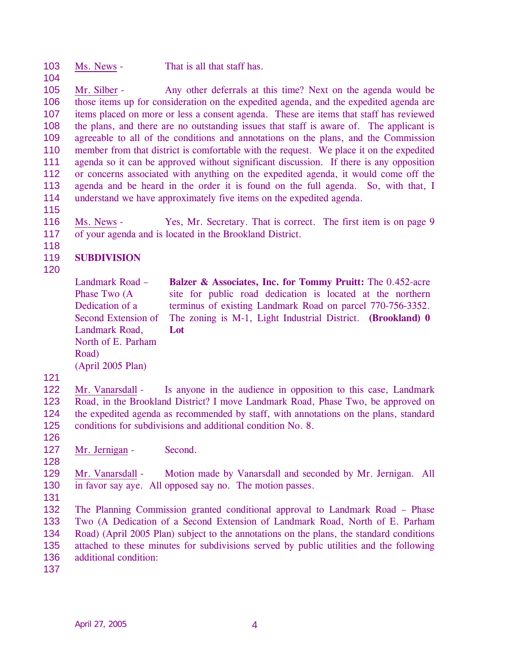103 Ms. News - That is all that staff has.

105 106 107 108 109 110 111 112 113 114 Mr. Silber - Any other deferrals at this time? Next on the agenda would be those items up for consideration on the expedited agenda, and the expedited agenda are items placed on more or less a consent agenda. These are items that staff has reviewed the plans, and there are no outstanding issues that staff is aware of. The applicant is agreeable to all of the conditions and annotations on the plans, and the Commission member from that district is comfortable with the request. We place it on the expedited agenda so it can be approved without significant discussion. If there is any opposition or concerns associated with anything on the expedited agenda, it would come off the agenda and be heard in the order it is found on the full agenda. So, with that, I understand we have approximately five items on the expedited agenda.

115

104

116

117

Ms. News - Yes, Mr. Secretary. That is correct. The first item is on page 9 of your agenda and is located in the Brookland District.

> **Balzer & Associates, Inc. for Tommy Pruitt:** The 0.452-acre site for public road dedication is located at the northern terminus of existing Landmark Road on parcel 770-756-3352. The zoning is M-1, Light Industrial District. **(Brookland) 0**

### 119 **SUBDIVISION**

120

118

Landmark Road – Phase Two (A Dedication of a Second Extension of Landmark Road, North of E. Parham Road) (April 2005 Plan)

**Lot** 

121

122 123 124 125 Mr. Vanarsdall - Is anyone in the audience in opposition to this case, Landmark Road, in the Brookland District? I move Landmark Road, Phase Two, be approved on the expedited agenda as recommended by staff, with annotations on the plans, standard conditions for subdivisions and additional condition No. 8.

126

128

127 Mr. Jernigan - Second.

129 130 Mr. Vanarsdall - Motion made by Vanarsdall and seconded by Mr. Jernigan. All in favor say aye. All opposed say no. The motion passes.

131

132 133 134 135 136 The Planning Commission granted conditional approval to Landmark Road – Phase Two (A Dedication of a Second Extension of Landmark Road, North of E. Parham Road) (April 2005 Plan) subject to the annotations on the plans, the standard conditions attached to these minutes for subdivisions served by public utilities and the following additional condition:

137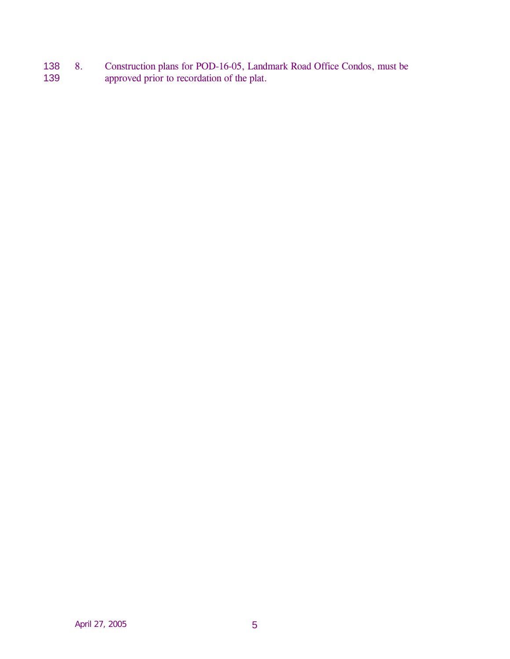138 139 8. Construction plans for POD-16-05, Landmark Road Office Condos, must be approved prior to recordation of the plat.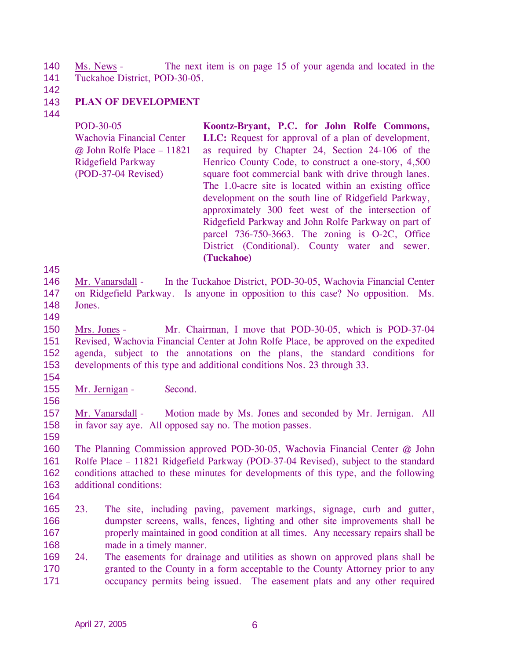140 141 Ms. News - The next item is on page 15 of your agenda and located in the Tuckahoe District, POD-30-05.

142

### 143 **PLAN OF DEVELOPMENT**

144

POD-30-05 Wachovia Financial Center @ John Rolfe Place – 11821 Ridgefield Parkway (POD-37-04 Revised) **Koontz-Bryant, P.C. for John Rolfe Commons, LLC:** Request for approval of a plan of development, as required by Chapter 24, Section 24-106 of the Henrico County Code, to construct a one-story, 4,500 square foot commercial bank with drive through lanes. The 1.0-acre site is located within an existing office development on the south line of Ridgefield Parkway, approximately 300 feet west of the intersection of Ridgefield Parkway and John Rolfe Parkway on part of parcel 736-750-3663. The zoning is O-2C, Office District (Conditional). County water and sewer. **(Tuckahoe)** 

146 147 148 Mr. Vanarsdall - In the Tuckahoe District, POD-30-05, Wachovia Financial Center on Ridgefield Parkway. Is anyone in opposition to this case? No opposition. Ms. Jones.

149

145

150 151 152 153 Mrs. Jones - Mr. Chairman, I move that POD-30-05, which is POD-37-04 Revised, Wachovia Financial Center at John Rolfe Place, be approved on the expedited agenda, subject to the annotations on the plans, the standard conditions for developments of this type and additional conditions Nos. 23 through 33.

154 155

Mr. Jernigan - Second.

156 157 158 Mr. Vanarsdall - Motion made by Ms. Jones and seconded by Mr. Jernigan. All in favor say aye. All opposed say no. The motion passes.

159

160 161 162 163 The Planning Commission approved POD-30-05, Wachovia Financial Center @ John Rolfe Place – 11821 Ridgefield Parkway (POD-37-04 Revised), subject to the standard conditions attached to these minutes for developments of this type, and the following additional conditions:

- 164
- 165 166 167 168 23. The site, including paving, pavement markings, signage, curb and gutter, dumpster screens, walls, fences, lighting and other site improvements shall be properly maintained in good condition at all times. Any necessary repairs shall be made in a timely manner.
- 169 170 171 24. The easements for drainage and utilities as shown on approved plans shall be granted to the County in a form acceptable to the County Attorney prior to any occupancy permits being issued. The easement plats and any other required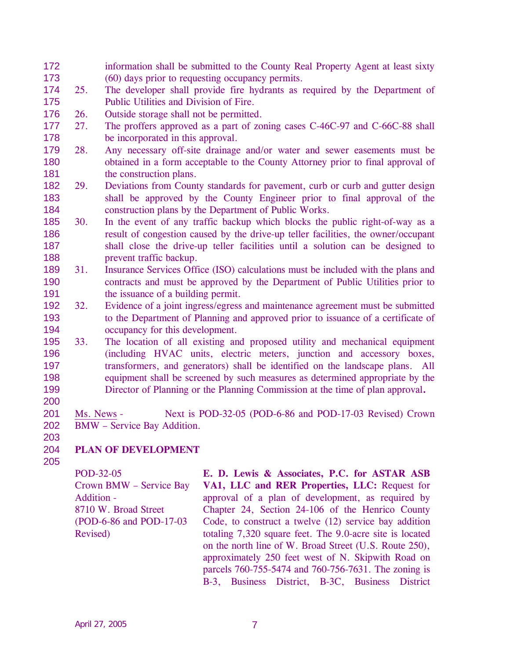- 172 173 information shall be submitted to the County Real Property Agent at least sixty (60) days prior to requesting occupancy permits.
- 174 175 25. The developer shall provide fire hydrants as required by the Department of Public Utilities and Division of Fire.
- 176 26. Outside storage shall not be permitted.
- 177 178 27. The proffers approved as a part of zoning cases C-46C-97 and C-66C-88 shall be incorporated in this approval.
- 179 180 181 28. Any necessary off-site drainage and/or water and sewer easements must be obtained in a form acceptable to the County Attorney prior to final approval of the construction plans.
- 182 183 184 29. Deviations from County standards for pavement, curb or curb and gutter design shall be approved by the County Engineer prior to final approval of the construction plans by the Department of Public Works.
- 185 186 187 188 30. In the event of any traffic backup which blocks the public right-of-way as a result of congestion caused by the drive-up teller facilities, the owner/occupant shall close the drive-up teller facilities until a solution can be designed to prevent traffic backup.
- 189 190 191 31. Insurance Services Office (ISO) calculations must be included with the plans and contracts and must be approved by the Department of Public Utilities prior to the issuance of a building permit.
- 192 193 194 32. Evidence of a joint ingress/egress and maintenance agreement must be submitted to the Department of Planning and approved prior to issuance of a certificate of occupancy for this development.
- 195 196 197 198 199 33. The location of all existing and proposed utility and mechanical equipment (including HVAC units, electric meters, junction and accessory boxes, transformers, and generators) shall be identified on the landscape plans. All equipment shall be screened by such measures as determined appropriate by the Director of Planning or the Planning Commission at the time of plan approval**.**
- 200

201 202 Ms. News - Next is POD-32-05 (POD-6-86 and POD-17-03 Revised) Crown BMW – Service Bay Addition.

203 204

**PLAN OF DEVELOPMENT** 

205

POD-32-05 Crown BMW – Service Bay Addition - 8710 W. Broad Street (POD-6-86 and POD-17-03 Revised)

**E. D. Lewis & Associates, P.C. for ASTAR ASB VA1, LLC and RER Properties, LLC:** Request for approval of a plan of development, as required by Chapter 24, Section 24-106 of the Henrico County Code, to construct a twelve (12) service bay addition totaling 7,320 square feet. The 9.0-acre site is located on the north line of W. Broad Street (U.S. Route 250), approximately 250 feet west of N. Skipwith Road on parcels 760-755-5474 and 760-756-7631. The zoning is B-3, Business District, B-3C, Business District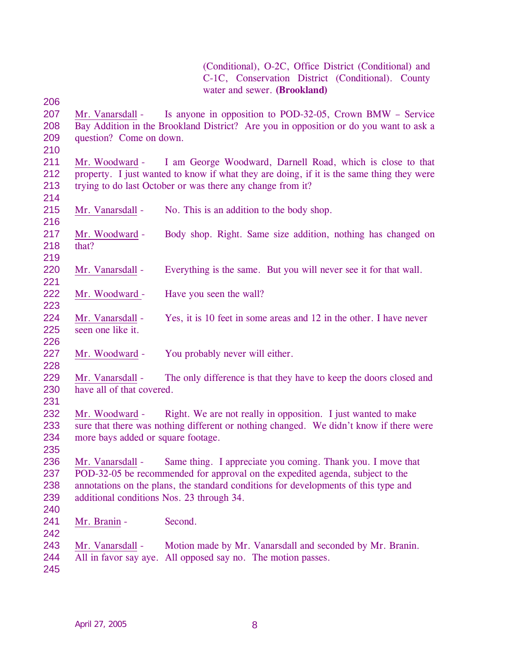(Conditional), O-2C, Office District (Conditional) and C-1C, Conservation District (Conditional). County water and sewer. **(Brookland)** 

207 208 209 Mr. Vanarsdall - Is anyone in opposition to POD-32-05, Crown BMW – Service Bay Addition in the Brookland District? Are you in opposition or do you want to ask a question? Come on down.

210

206

211 212 213 Mr. Woodward - I am George Woodward, Darnell Road, which is close to that property. I just wanted to know if what they are doing, if it is the same thing they were trying to do last October or was there any change from it?

214

216

219

221

223

226

228

215 Mr. Vanarsdall - No. This is an addition to the body shop.

217 218 Mr. Woodward - Body shop. Right. Same size addition, nothing has changed on that?

220 Mr. Vanarsdall - Everything is the same. But you will never see it for that wall.

- 222 Mr. Woodward - Have you seen the wall?
- 224 225 Mr. Vanarsdall - Yes, it is 10 feet in some areas and 12 in the other. I have never seen one like it.

227 Mr. Woodward - You probably never will either.

229 230 231 Mr. Vanarsdall - The only difference is that they have to keep the doors closed and have all of that covered.

232 233 234 Mr. Woodward - Right. We are not really in opposition. I just wanted to make sure that there was nothing different or nothing changed. We didn't know if there were more bays added or square footage.

235

236 237 238 239 Mr. Vanarsdall - Same thing. I appreciate you coming. Thank you. I move that POD-32-05 be recommended for approval on the expedited agenda, subject to the annotations on the plans, the standard conditions for developments of this type and additional conditions Nos. 23 through 34.

240

241 242 Mr. Branin - Second.

243 244 Mr. Vanarsdall - Motion made by Mr. Vanarsdall and seconded by Mr. Branin. All in favor say aye. All opposed say no. The motion passes.

245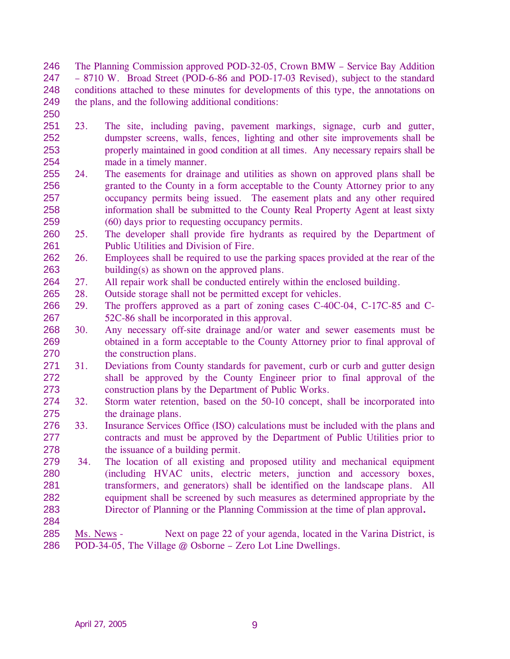246 247 248 249 The Planning Commission approved POD-32-05, Crown BMW – Service Bay Addition – 8710 W. Broad Street (POD-6-86 and POD-17-03 Revised), subject to the standard conditions attached to these minutes for developments of this type, the annotations on the plans, and the following additional conditions:

- 250
- 251 252 253 254 23. The site, including paving, pavement markings, signage, curb and gutter, dumpster screens, walls, fences, lighting and other site improvements shall be properly maintained in good condition at all times. Any necessary repairs shall be made in a timely manner.
- 255 256 257 258 259 24. The easements for drainage and utilities as shown on approved plans shall be granted to the County in a form acceptable to the County Attorney prior to any occupancy permits being issued. The easement plats and any other required information shall be submitted to the County Real Property Agent at least sixty (60) days prior to requesting occupancy permits.
- 260 261 25. The developer shall provide fire hydrants as required by the Department of Public Utilities and Division of Fire.
- 262 263 26. Employees shall be required to use the parking spaces provided at the rear of the building(s) as shown on the approved plans.
- 264 27. All repair work shall be conducted entirely within the enclosed building.
- 265 28. Outside storage shall not be permitted except for vehicles.
- 266 267 29. The proffers approved as a part of zoning cases C-40C-04, C-17C-85 and C-52C-86 shall be incorporated in this approval.
- 268 269 270 30. Any necessary off-site drainage and/or water and sewer easements must be obtained in a form acceptable to the County Attorney prior to final approval of the construction plans.
- 271 272 273 31. Deviations from County standards for pavement, curb or curb and gutter design shall be approved by the County Engineer prior to final approval of the construction plans by the Department of Public Works.
- 274 275 32. Storm water retention, based on the 50-10 concept, shall be incorporated into the drainage plans.
- 276 277 278 33. Insurance Services Office (ISO) calculations must be included with the plans and contracts and must be approved by the Department of Public Utilities prior to the issuance of a building permit.
- 279 280 281 282 283 34. The location of all existing and proposed utility and mechanical equipment (including HVAC units, electric meters, junction and accessory boxes, transformers, and generators) shall be identified on the landscape plans. All equipment shall be screened by such measures as determined appropriate by the Director of Planning or the Planning Commission at the time of plan approval**.**
- 284
- 285 286 Ms. News - Next on page 22 of your agenda, located in the Varina District, is POD-34-05, The Village @ Osborne – Zero Lot Line Dwellings.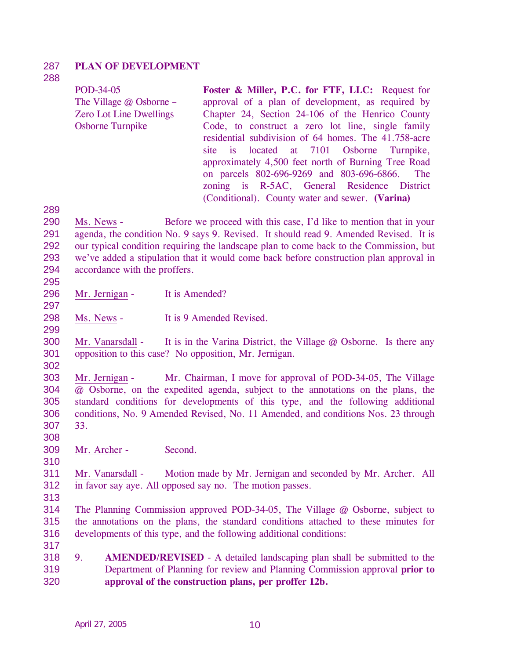### 287 **PLAN OF DEVELOPMENT**

### 288

| POD-34-05                      | Foster & Miller, P.C. for FTF, LLC: Request for      |
|--------------------------------|------------------------------------------------------|
| The Village $@$ Osborne –      | approval of a plan of development, as required by    |
| <b>Zero Lot Line Dwellings</b> | Chapter 24, Section 24-106 of the Henrico County     |
| <b>Osborne Turnpike</b>        | Code, to construct a zero lot line, single family    |
|                                | residential subdivision of 64 homes. The 41.758-acre |
|                                | site is located at 7101 Osborne Turnpike,            |
|                                | approximately 4,500 feet north of Burning Tree Road  |
|                                | on parcels 802-696-9269 and 803-696-6866. The        |
|                                | zoning is R-5AC, General Residence District          |
|                                | (Conditional). County water and sewer. (Varina)      |

289

290 291 292 293 294 Ms. News - Before we proceed with this case, I'd like to mention that in your agenda, the condition No. 9 says 9. Revised. It should read 9. Amended Revised. It is our typical condition requiring the landscape plan to come back to the Commission, but we've added a stipulation that it would come back before construction plan approval in accordance with the proffers.

295

297

296 Mr. Jernigan - It is Amended?

298 Ms. News - It is 9 Amended Revised.

299

302

300 301 Mr. Vanarsdall - It is in the Varina District, the Village @ Osborne. Is there any opposition to this case? No opposition, Mr. Jernigan.

303 304 305 306 307 Mr. Jernigan - Mr. Chairman, I move for approval of POD-34-05, The Village @ Osborne, on the expedited agenda, subject to the annotations on the plans, the standard conditions for developments of this type, and the following additional conditions, No. 9 Amended Revised, No. 11 Amended, and conditions Nos. 23 through 33.

308

310

309 Mr. Archer - Second.

311 312 Mr. Vanarsdall - Motion made by Mr. Jernigan and seconded by Mr. Archer. All in favor say aye. All opposed say no. The motion passes.

313

317

314 315 316 The Planning Commission approved POD-34-05, The Village @ Osborne, subject to the annotations on the plans, the standard conditions attached to these minutes for developments of this type, and the following additional conditions:

318 319 320 9. **AMENDED/REVISED** - A detailed landscaping plan shall be submitted to the Department of Planning for review and Planning Commission approval **prior to approval of the construction plans, per proffer 12b.**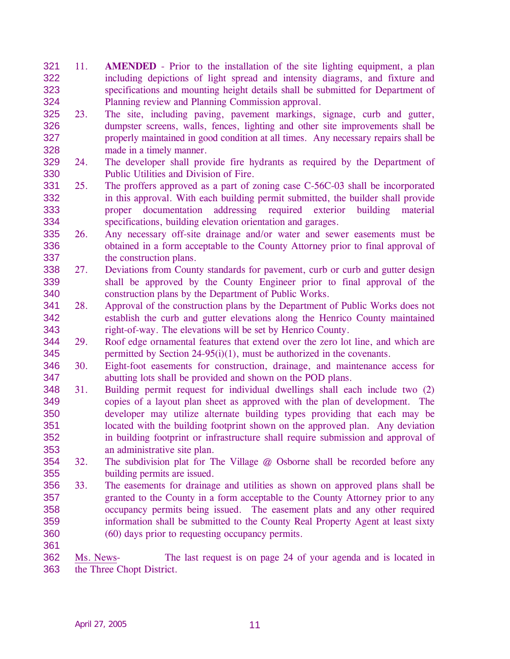321 322 323 324 11. **AMENDED** - Prior to the installation of the site lighting equipment, a plan including depictions of light spread and intensity diagrams, and fixture and specifications and mounting height details shall be submitted for Department of Planning review and Planning Commission approval.

- 325 326 327 328 23. The site, including paving, pavement markings, signage, curb and gutter, dumpster screens, walls, fences, lighting and other site improvements shall be properly maintained in good condition at all times. Any necessary repairs shall be made in a timely manner.
- 329 330 24. The developer shall provide fire hydrants as required by the Department of Public Utilities and Division of Fire.
- 331 332 333 334 25. The proffers approved as a part of zoning case C-56C-03 shall be incorporated in this approval. With each building permit submitted, the builder shall provide proper documentation addressing required exterior building material specifications, building elevation orientation and garages.
- 335 336 337 26. Any necessary off-site drainage and/or water and sewer easements must be obtained in a form acceptable to the County Attorney prior to final approval of the construction plans.
- 338 339 340 27. Deviations from County standards for pavement, curb or curb and gutter design shall be approved by the County Engineer prior to final approval of the construction plans by the Department of Public Works.
- 341 342 343 28. Approval of the construction plans by the Department of Public Works does not establish the curb and gutter elevations along the Henrico County maintained right-of-way. The elevations will be set by Henrico County.
- 344 345 29. Roof edge ornamental features that extend over the zero lot line, and which are permitted by Section 24-95(i)(1), must be authorized in the covenants.
- 346 347 30. Eight-foot easements for construction, drainage, and maintenance access for abutting lots shall be provided and shown on the POD plans.
- 348 349 350 351 352 353 31. Building permit request for individual dwellings shall each include two (2) copies of a layout plan sheet as approved with the plan of development. The developer may utilize alternate building types providing that each may be located with the building footprint shown on the approved plan. Any deviation in building footprint or infrastructure shall require submission and approval of an administrative site plan.
- 354 355 32. The subdivision plat for The Village @ Osborne shall be recorded before any building permits are issued.
- 356 357 358 359 360 33. The easements for drainage and utilities as shown on approved plans shall be granted to the County in a form acceptable to the County Attorney prior to any occupancy permits being issued. The easement plats and any other required information shall be submitted to the County Real Property Agent at least sixty (60) days prior to requesting occupancy permits.
- 361

<sup>362</sup>  363 Ms. News- The last request is on page 24 of your agenda and is located in the Three Chopt District.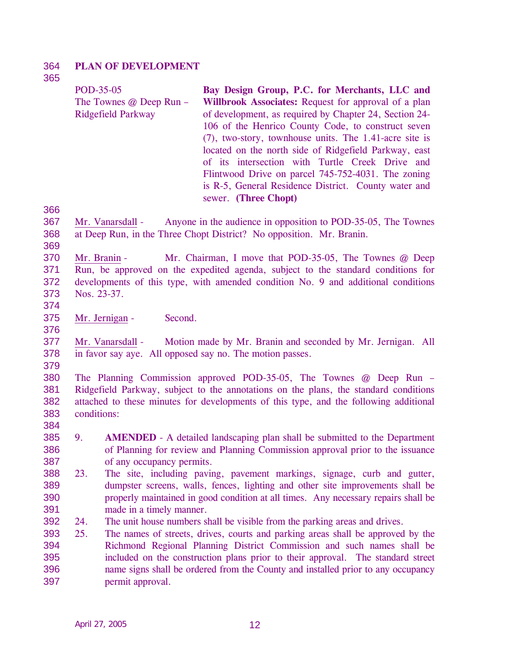### 364 **PLAN OF DEVELOPMENT**

### 365

| POD-35-05                 | Bay Design Group, P.C. for Merchants, LLC and          |
|---------------------------|--------------------------------------------------------|
| The Townes $@$ Deep Run – | Willbrook Associates: Request for approval of a plan   |
| <b>Ridgefield Parkway</b> | of development, as required by Chapter 24, Section 24- |
|                           | 106 of the Henrico County Code, to construct seven     |
|                           | (7), two-story, townhouse units. The 1.41-acre site is |
|                           | located on the north side of Ridgefield Parkway, east  |
|                           | of its intersection with Turtle Creek Drive and        |
|                           | Flintwood Drive on parcel 745-752-4031. The zoning     |
|                           | is R-5, General Residence District. County water and   |
|                           | sewer. (Three Chopt)                                   |

366

367 368 369 Mr. Vanarsdall - Anyone in the audience in opposition to POD-35-05, The Townes at Deep Run, in the Three Chopt District? No opposition. Mr. Branin.

370 371 372 373 Mr. Branin - Mr. Chairman, I move that POD-35-05, The Townes @ Deep Run, be approved on the expedited agenda, subject to the standard conditions for developments of this type, with amended condition No. 9 and additional conditions Nos. 23-37.

374

376

379

375 Mr. Jernigan - Second.

377 378 Mr. Vanarsdall - Motion made by Mr. Branin and seconded by Mr. Jernigan. All in favor say aye. All opposed say no. The motion passes.

380 381 382 383 The Planning Commission approved POD-35-05, The Townes @ Deep Run – Ridgefield Parkway, subject to the annotations on the plans, the standard conditions attached to these minutes for developments of this type, and the following additional conditions:

384

385 386 387 9. **AMENDED** - A detailed landscaping plan shall be submitted to the Department of Planning for review and Planning Commission approval prior to the issuance of any occupancy permits.

- 388 389 390 391 23. The site, including paving, pavement markings, signage, curb and gutter, dumpster screens, walls, fences, lighting and other site improvements shall be properly maintained in good condition at all times. Any necessary repairs shall be made in a timely manner.
- 392 24. The unit house numbers shall be visible from the parking areas and drives.

393 394 395 396 397 25. The names of streets, drives, courts and parking areas shall be approved by the Richmond Regional Planning District Commission and such names shall be included on the construction plans prior to their approval. The standard street name signs shall be ordered from the County and installed prior to any occupancy permit approval.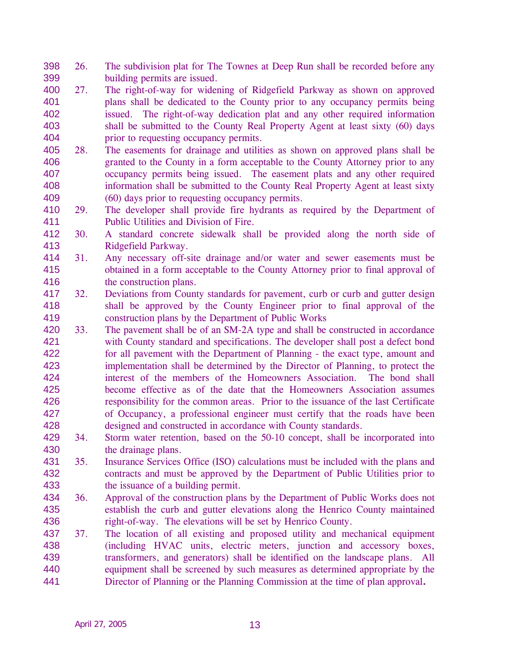- 398 399 26. The subdivision plat for The Townes at Deep Run shall be recorded before any building permits are issued.
- 400 401 402 403 404 27. The right-of-way for widening of Ridgefield Parkway as shown on approved plans shall be dedicated to the County prior to any occupancy permits being issued. The right-of-way dedication plat and any other required information shall be submitted to the County Real Property Agent at least sixty (60) days prior to requesting occupancy permits.
- 405 406 407 408 409 28. The easements for drainage and utilities as shown on approved plans shall be granted to the County in a form acceptable to the County Attorney prior to any occupancy permits being issued. The easement plats and any other required information shall be submitted to the County Real Property Agent at least sixty (60) days prior to requesting occupancy permits.
- 410 411 29. The developer shall provide fire hydrants as required by the Department of Public Utilities and Division of Fire.
- 412 413 30. A standard concrete sidewalk shall be provided along the north side of Ridgefield Parkway.
- 414 415 416 31. Any necessary off-site drainage and/or water and sewer easements must be obtained in a form acceptable to the County Attorney prior to final approval of the construction plans.
- 417 418 419 32. Deviations from County standards for pavement, curb or curb and gutter design shall be approved by the County Engineer prior to final approval of the construction plans by the Department of Public Works
- 420 421 422 423 424 425 426 427 428 33. The pavement shall be of an SM-2A type and shall be constructed in accordance with County standard and specifications. The developer shall post a defect bond for all pavement with the Department of Planning - the exact type, amount and implementation shall be determined by the Director of Planning, to protect the interest of the members of the Homeowners Association. The bond shall become effective as of the date that the Homeowners Association assumes responsibility for the common areas. Prior to the issuance of the last Certificate of Occupancy, a professional engineer must certify that the roads have been designed and constructed in accordance with County standards.
- 429 430 34. Storm water retention, based on the 50-10 concept, shall be incorporated into the drainage plans.
- 431 432 433 35. Insurance Services Office (ISO) calculations must be included with the plans and contracts and must be approved by the Department of Public Utilities prior to the issuance of a building permit.
- 434 435 436 36. Approval of the construction plans by the Department of Public Works does not establish the curb and gutter elevations along the Henrico County maintained right-of-way. The elevations will be set by Henrico County.
- 437 438 439 440 441 37. The location of all existing and proposed utility and mechanical equipment (including HVAC units, electric meters, junction and accessory boxes, transformers, and generators) shall be identified on the landscape plans. All equipment shall be screened by such measures as determined appropriate by the Director of Planning or the Planning Commission at the time of plan approval**.**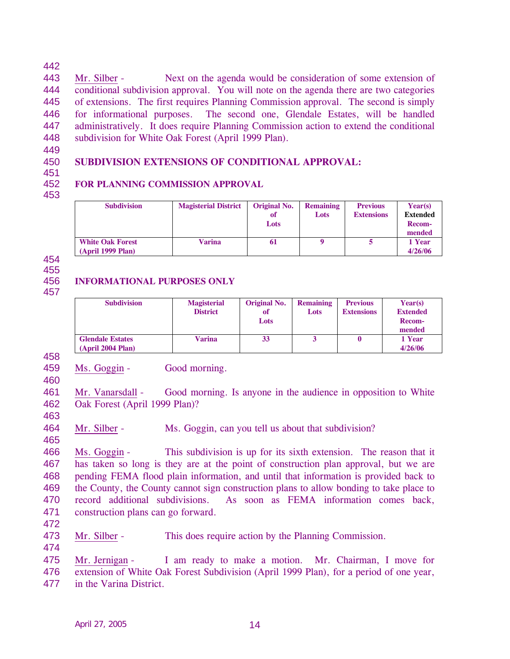442

443 444 445 446 447 448 Mr. Silber - Next on the agenda would be consideration of some extension of conditional subdivision approval. You will note on the agenda there are two categories of extensions. The first requires Planning Commission approval. The second is simply for informational purposes. The second one, Glendale Estates, will be handled administratively. It does require Planning Commission action to extend the conditional subdivision for White Oak Forest (April 1999 Plan).

449

### 450 **SUBDIVISION EXTENSIONS OF CONDITIONAL APPROVAL:**

451 452

## **FOR PLANNING COMMISSION APPROVAL**

453

| <b>Subdivision</b>                           | <b>Magisterial District</b> | <b>Original No.</b><br>of<br>Lots | <b>Remaining</b><br>Lots | <b>Previous</b><br><b>Extensions</b> | Year(s)<br><b>Extended</b><br><b>Recom-</b><br>mended |
|----------------------------------------------|-----------------------------|-----------------------------------|--------------------------|--------------------------------------|-------------------------------------------------------|
| <b>White Oak Forest</b><br>(April 1999 Plan) | Varina                      | 61                                |                          |                                      | 1 Year<br>4/26/06                                     |

454

## 455

### 456 **INFORMATIONAL PURPOSES ONLY**

457

| <b>Subdivision</b>                          | <b>Magisterial</b><br><b>District</b> | <b>Original No.</b><br>of<br>Lots | <b>Remaining</b><br>Lots | <b>Previous</b><br><b>Extensions</b> | Year(s)<br><b>Extended</b><br><b>Recom-</b><br>mended |
|---------------------------------------------|---------------------------------------|-----------------------------------|--------------------------|--------------------------------------|-------------------------------------------------------|
| <b>Glendale Estates</b><br>(Apri 2004 Plan) | Varina                                | 33                                |                          |                                      | 1 Year<br>4/26/06                                     |

458

459 Ms. Goggin - Good morning.

460

461 462 Mr. Vanarsdall - Good morning. Is anyone in the audience in opposition to White Oak Forest (April 1999 Plan)?

463

465

464 Mr. Silber - Ms. Goggin, can you tell us about that subdivision?

466 467 468 469 470 471 Ms. Goggin - This subdivision is up for its sixth extension. The reason that it has taken so long is they are at the point of construction plan approval, but we are pending FEMA flood plain information, and until that information is provided back to the County, the County cannot sign construction plans to allow bonding to take place to record additional subdivisions. As soon as FEMA information comes back, construction plans can go forward.

472

473 Mr. Silber - This does require action by the Planning Commission.

474

475 476 477 Mr. Jernigan - I am ready to make a motion. Mr. Chairman, I move for extension of White Oak Forest Subdivision (April 1999 Plan), for a period of one year, in the Varina District.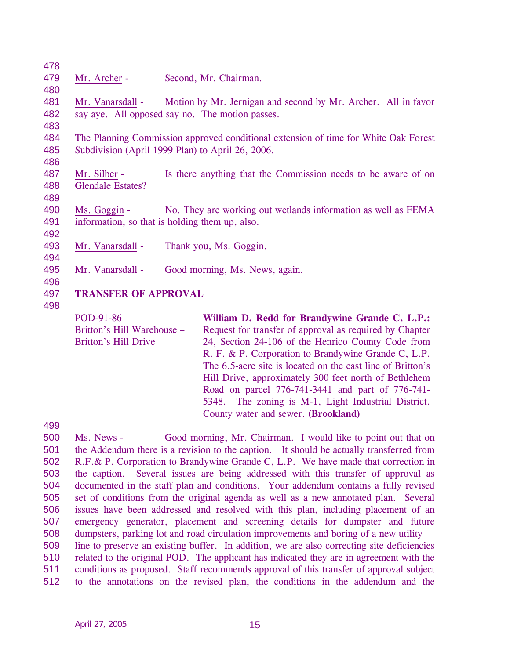| 478 |                             |                                                                                     |
|-----|-----------------------------|-------------------------------------------------------------------------------------|
| 479 | Mr. Archer -                | Second, Mr. Chairman.                                                               |
| 480 |                             |                                                                                     |
| 481 |                             | Mr. Vanarsdall - Motion by Mr. Jernigan and second by Mr. Archer. All in favor      |
| 482 |                             | say aye. All opposed say no. The motion passes.                                     |
| 483 |                             |                                                                                     |
| 484 |                             | The Planning Commission approved conditional extension of time for White Oak Forest |
| 485 |                             | Subdivision (April 1999 Plan) to April 26, 2006.                                    |
| 486 |                             |                                                                                     |
| 487 | Mr. Silber -                | Is there anything that the Commission needs to be aware of on                       |
| 488 | <b>Glendale Estates?</b>    |                                                                                     |
| 489 |                             |                                                                                     |
| 490 |                             | Ms. Goggin - No. They are working out wetlands information as well as FEMA          |
| 491 |                             | information, so that is holding them up, also.                                      |
| 492 |                             |                                                                                     |
| 493 | Mr. Vanarsdall -            | Thank you, Ms. Goggin.                                                              |
| 494 |                             |                                                                                     |
| 495 | Mr. Vanarsdall -            | Good morning, Ms. News, again.                                                      |
| 496 |                             |                                                                                     |
| 497 | <b>TRANSFER OF APPROVAL</b> |                                                                                     |
| 498 |                             |                                                                                     |

- POD-91-86 Britton's Hill Warehouse – Britton's Hill Drive **William D. Redd for Brandywine Grande C, L.P.:**  Request for transfer of approval as required by Chapter 24, Section 24-106 of the Henrico County Code from R. F. & P. Corporation to Brandywine Grande C, L.P. The 6.5-acre site is located on the east line of Britton's Hill Drive, approximately 300 feet north of Bethlehem Road on parcel 776-741-3441 and part of 776-741- 5348. The zoning is M-1, Light Industrial District. County water and sewer. **(Brookland)**
- 499

500 501 502 503 504 505 506 507 508 509 510 511 512 Ms. News - Good morning, Mr. Chairman. I would like to point out that on the Addendum there is a revision to the caption. It should be actually transferred from R.F.& P. Corporation to Brandywine Grande C, L.P. We have made that correction in the caption. Several issues are being addressed with this transfer of approval as documented in the staff plan and conditions. Your addendum contains a fully revised set of conditions from the original agenda as well as a new annotated plan. Several issues have been addressed and resolved with this plan, including placement of an emergency generator, placement and screening details for dumpster and future dumpsters, parking lot and road circulation improvements and boring of a new utility line to preserve an existing buffer. In addition, we are also correcting site deficiencies related to the original POD. The applicant has indicated they are in agreement with the conditions as proposed. Staff recommends approval of this transfer of approval subject to the annotations on the revised plan, the conditions in the addendum and the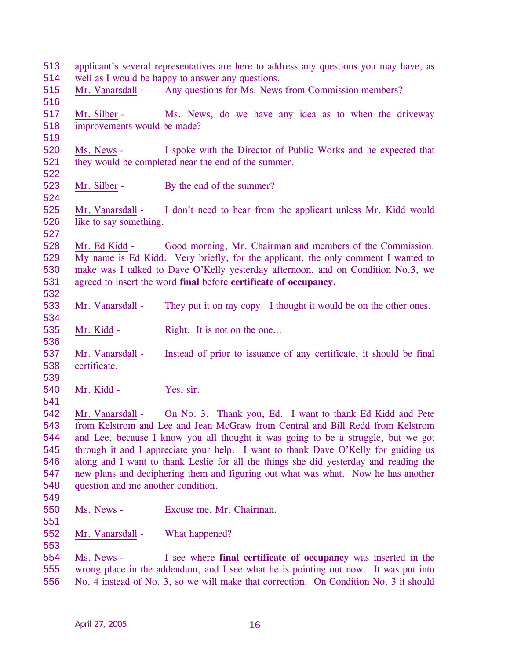| 513        | applicant's several representatives are here to address any questions you may have, as |                                                                                       |  |  |
|------------|----------------------------------------------------------------------------------------|---------------------------------------------------------------------------------------|--|--|
| 514        | well as I would be happy to answer any questions.                                      |                                                                                       |  |  |
| 515<br>516 | Mr. Vanarsdall -                                                                       | Any questions for Ms. News from Commission members?                                   |  |  |
| 517        | Mr. Silber -                                                                           | Ms. News, do we have any idea as to when the driveway                                 |  |  |
| 518        | improvements would be made?                                                            |                                                                                       |  |  |
| 519        |                                                                                        |                                                                                       |  |  |
| 520        | Ms. News -                                                                             | I spoke with the Director of Public Works and he expected that                        |  |  |
| 521        |                                                                                        | they would be completed near the end of the summer.                                   |  |  |
| 522        |                                                                                        |                                                                                       |  |  |
| 523        | Mr. Silber -                                                                           | By the end of the summer?                                                             |  |  |
| 524        |                                                                                        |                                                                                       |  |  |
| 525        |                                                                                        | Mr. Vanarsdall - I don't need to hear from the applicant unless Mr. Kidd would        |  |  |
| 526        | like to say something.                                                                 |                                                                                       |  |  |
| 527        |                                                                                        |                                                                                       |  |  |
| 528        | Mr. Ed Kidd -                                                                          | Good morning, Mr. Chairman and members of the Commission.                             |  |  |
| 529        |                                                                                        | My name is Ed Kidd. Very briefly, for the applicant, the only comment I wanted to     |  |  |
| 530        |                                                                                        | make was I talked to Dave O'Kelly yesterday afternoon, and on Condition No.3, we      |  |  |
| 531        |                                                                                        | agreed to insert the word final before certificate of occupancy.                      |  |  |
| 532        |                                                                                        |                                                                                       |  |  |
| 533        | Mr. Vanarsdall -                                                                       | They put it on my copy. I thought it would be on the other ones.                      |  |  |
| 534        |                                                                                        |                                                                                       |  |  |
| 535        | Mr. Kidd -                                                                             | Right. It is not on the one                                                           |  |  |
| 536        |                                                                                        |                                                                                       |  |  |
| 537        | Mr. Vanarsdall -                                                                       | Instead of prior to issuance of any certificate, it should be final                   |  |  |
| 538        | certificate.                                                                           |                                                                                       |  |  |
| 539        |                                                                                        |                                                                                       |  |  |
| 540        | Mr. Kidd -                                                                             | Yes, sir.                                                                             |  |  |
| 541        |                                                                                        |                                                                                       |  |  |
| 542        | Mr. Vanarsdall -                                                                       | On No. 3. Thank you, Ed. I want to thank Ed Kidd and Pete                             |  |  |
| 543        |                                                                                        | from Kelstrom and Lee and Jean McGraw from Central and Bill Redd from Kelstrom        |  |  |
| 544        |                                                                                        | and Lee, because I know you all thought it was going to be a struggle, but we got     |  |  |
| 545        |                                                                                        | through it and I appreciate your help. I want to thank Dave O'Kelly for guiding us    |  |  |
| 546        |                                                                                        | along and I want to thank Leslie for all the things she did yesterday and reading the |  |  |
| 547        |                                                                                        | new plans and deciphering them and figuring out what was what. Now he has another     |  |  |
| 548        | question and me another condition.                                                     |                                                                                       |  |  |
| 549        |                                                                                        |                                                                                       |  |  |
| 550        | Ms. News -                                                                             | Excuse me, Mr. Chairman.                                                              |  |  |
| 551        |                                                                                        |                                                                                       |  |  |
| 552        |                                                                                        |                                                                                       |  |  |
| 553        | Mr. Vanarsdall -                                                                       | What happened?                                                                        |  |  |
| 554        | Ms. News -                                                                             | I see where final certificate of occupancy was inserted in the                        |  |  |
| 555        |                                                                                        | wrong place in the addendum, and I see what he is pointing out now. It was put into   |  |  |
| 556        |                                                                                        | No. 4 instead of No. 3, so we will make that correction. On Condition No. 3 it should |  |  |
|            |                                                                                        |                                                                                       |  |  |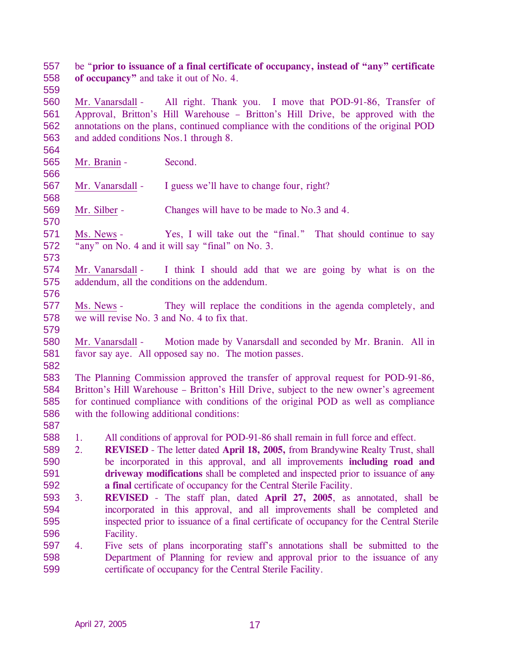557 558 be "**prior to issuance of a final certificate of occupancy, instead of "any" certificate of occupancy"** and take it out of No. 4.

560 561 562 563 Mr. Vanarsdall - All right. Thank you. I move that POD-91-86, Transfer of Approval, Britton's Hill Warehouse – Britton's Hill Drive, be approved with the annotations on the plans, continued compliance with the conditions of the original POD and added conditions Nos.1 through 8.

- 565 Mr. Branin - Second.
- 567 Mr. Vanarsdall - I guess we'll have to change four, right?

569 Mr. Silber - Changes will have to be made to No.3 and 4.

- 571 572 Ms. News - Yes, I will take out the "final." That should continue to say "any" on No. 4 and it will say "final" on No. 3.
- 574 575 576 Mr. Vanarsdall - I think I should add that we are going by what is on the addendum, all the conditions on the addendum.
- 577 578 Ms. News - They will replace the conditions in the agenda completely, and we will revise No. 3 and No. 4 to fix that.
- 579

559

564

566

568

570

573

- 580 581 582 Mr. Vanarsdall - Motion made by Vanarsdall and seconded by Mr. Branin. All in favor say aye. All opposed say no. The motion passes.
- 583 584 585 586 The Planning Commission approved the transfer of approval request for POD-91-86, Britton's Hill Warehouse – Britton's Hill Drive, subject to the new owner's agreement for continued compliance with conditions of the original POD as well as compliance with the following additional conditions:
- 587

588 1. All conditions of approval for POD-91-86 shall remain in full force and effect.

- 589 590 2. **REVISED** - The letter dated **April 18, 2005,** from Brandywine Realty Trust, shall be incorporated in this approval, and all improvements **including road and**  driveway modifications shall be completed and inspected prior to issuance of any **a final** certificate of occupancy for the Central Sterile Facility. 591 592
- 593 594 595 596 3. **REVISED** - The staff plan, dated **April 27, 2005**, as annotated, shall be incorporated in this approval, and all improvements shall be completed and inspected prior to issuance of a final certificate of occupancy for the Central Sterile Facility.
- 597 598 599 4. Five sets of plans incorporating staff's annotations shall be submitted to the Department of Planning for review and approval prior to the issuance of any certificate of occupancy for the Central Sterile Facility.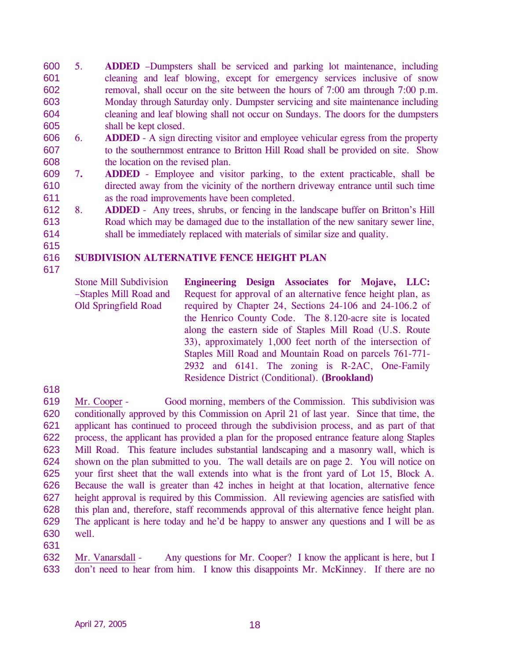600 601 602 603 604 605 5. **ADDED** –Dumpsters shall be serviced and parking lot maintenance, including cleaning and leaf blowing, except for emergency services inclusive of snow removal, shall occur on the site between the hours of 7:00 am through 7:00 p.m. Monday through Saturday only. Dumpster servicing and site maintenance including cleaning and leaf blowing shall not occur on Sundays. The doors for the dumpsters shall be kept closed.

- 606 607 608 6. **ADDED** - A sign directing visitor and employee vehicular egress from the property to the southernmost entrance to Britton Hill Road shall be provided on site. Show the location on the revised plan.
- 609 610 611 7**. ADDED** - Employee and visitor parking, to the extent practicable, shall be directed away from the vicinity of the northern driveway entrance until such time as the road improvements have been completed.
- 612 613 614 8. **ADDED** - Any trees, shrubs, or fencing in the landscape buffer on Britton's Hill Road which may be damaged due to the installation of the new sanitary sewer line, shall be immediately replaced with materials of similar size and quality.

### 616 **SUBDIVISION ALTERNATIVE FENCE HEIGHT PLAN**

617

615

Stone Mill Subdivision –Staples Mill Road and Old Springfield Road **Engineering Design Associates for Mojave, LLC:**  Request for approval of an alternative fence height plan, as required by Chapter 24, Sections 24-106 and 24-106.2 of the Henrico County Code. The 8.120-acre site is located along the eastern side of Staples Mill Road (U.S. Route 33), approximately 1,000 feet north of the intersection of Staples Mill Road and Mountain Road on parcels 761-771- 2932 and 6141. The zoning is R-2AC, One-Family Residence District (Conditional). **(Brookland)** 

618

631

619 620 621 622 623 624 625 626 627 628 629 630 Mr. Cooper - Good morning, members of the Commission. This subdivision was conditionally approved by this Commission on April 21 of last year. Since that time, the applicant has continued to proceed through the subdivision process, and as part of that process, the applicant has provided a plan for the proposed entrance feature along Staples Mill Road. This feature includes substantial landscaping and a masonry wall, which is shown on the plan submitted to you. The wall details are on page 2. You will notice on your first sheet that the wall extends into what is the front yard of Lot 15, Block A. Because the wall is greater than 42 inches in height at that location, alternative fence height approval is required by this Commission. All reviewing agencies are satisfied with this plan and, therefore, staff recommends approval of this alternative fence height plan. The applicant is here today and he'd be happy to answer any questions and I will be as well.

632 633 Mr. Vanarsdall - Any questions for Mr. Cooper? I know the applicant is here, but I don't need to hear from him. I know this disappoints Mr. McKinney. If there are no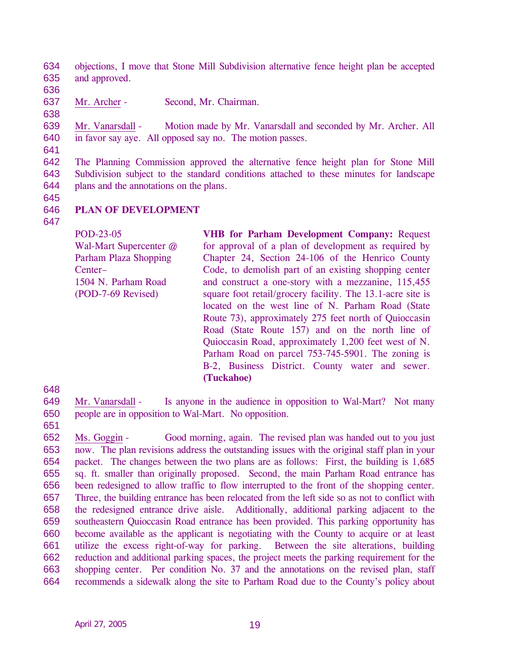634 635 objections, I move that Stone Mill Subdivision alternative fence height plan be accepted and approved.

- 636
- 637 638

Mr. Archer - Second, Mr. Chairman.

639 640 Mr. Vanarsdall - Motion made by Mr. Vanarsdall and seconded by Mr. Archer. All in favor say aye. All opposed say no. The motion passes.

641

642 643 644 The Planning Commission approved the alternative fence height plan for Stone Mill Subdivision subject to the standard conditions attached to these minutes for landscape plans and the annotations on the plans.

645

### 646 **PLAN OF DEVELOPMENT**

647

POD-23-05 Wal-Mart Supercenter @ Parham Plaza Shopping Center– 1504 N. Parham Road (POD-7-69 Revised)

**VHB for Parham Development Company:** Request for approval of a plan of development as required by Chapter 24, Section 24-106 of the Henrico County Code, to demolish part of an existing shopping center and construct a one-story with a mezzanine, 115,455 square foot retail/grocery facility. The 13.1-acre site is located on the west line of N. Parham Road (State Route 73), approximately 275 feet north of Quioccasin Road (State Route 157) and on the north line of Quioccasin Road, approximately 1,200 feet west of N. Parham Road on parcel 753-745-5901. The zoning is B-2, Business District. County water and sewer. **(Tuckahoe)** 

- 648
- 649 650 Mr. Vanarsdall - Is anyone in the audience in opposition to Wal-Mart? Not many people are in opposition to Wal-Mart. No opposition.
- 651

652 653 654 655 656 657 658 659 660 661 662 663 664 Ms. Goggin - Good morning, again. The revised plan was handed out to you just now. The plan revisions address the outstanding issues with the original staff plan in your packet. The changes between the two plans are as follows: First, the building is 1,685 sq. ft. smaller than originally proposed. Second, the main Parham Road entrance has been redesigned to allow traffic to flow interrupted to the front of the shopping center. Three, the building entrance has been relocated from the left side so as not to conflict with the redesigned entrance drive aisle. Additionally, additional parking adjacent to the southeastern Quioccasin Road entrance has been provided. This parking opportunity has become available as the applicant is negotiating with the County to acquire or at least utilize the excess right-of-way for parking. Between the site alterations, building reduction and additional parking spaces, the project meets the parking requirement for the shopping center. Per condition No. 37 and the annotations on the revised plan, staff recommends a sidewalk along the site to Parham Road due to the County's policy about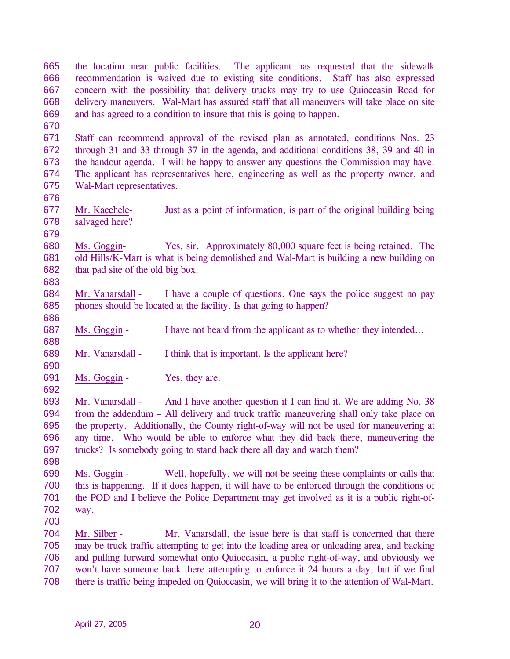665 666 667 668 669 the location near public facilities. The applicant has requested that the sidewalk recommendation is waived due to existing site conditions. Staff has also expressed concern with the possibility that delivery trucks may try to use Quioccasin Road for delivery maneuvers. Wal-Mart has assured staff that all maneuvers will take place on site and has agreed to a condition to insure that this is going to happen.

670

671 672 673 674 675 Staff can recommend approval of the revised plan as annotated, conditions Nos. 23 through 31 and 33 through 37 in the agenda, and additional conditions 38, 39 and 40 in the handout agenda. I will be happy to answer any questions the Commission may have. The applicant has representatives here, engineering as well as the property owner, and Wal-Mart representatives.

676

686

688

690

692

698

677 678 Mr. Kaechele- Just as a point of information, is part of the original building being salvaged here?

679

680 681 682 683 Ms. Goggin- Yes, sir. Approximately 80,000 square feet is being retained. The old Hills/K-Mart is what is being demolished and Wal-Mart is building a new building on that pad site of the old big box.

684 685 Mr. Vanarsdall - I have a couple of questions. One says the police suggest no pay phones should be located at the facility. Is that going to happen?

687 Ms. Goggin - I have not heard from the applicant as to whether they intended...

689 Mr. Vanarsdall - I think that is important. Is the applicant here?

691 Ms. Goggin - Yes, they are.

693 694 695 696 697 Mr. Vanarsdall - And I have another question if I can find it. We are adding No. 38 from the addendum – All delivery and truck traffic maneuvering shall only take place on the property. Additionally, the County right-of-way will not be used for maneuvering at any time. Who would be able to enforce what they did back there, maneuvering the trucks? Is somebody going to stand back there all day and watch them?

699 700 701 702 703 Ms. Goggin - Well, hopefully, we will not be seeing these complaints or calls that this is happening. If it does happen, it will have to be enforced through the conditions of the POD and I believe the Police Department may get involved as it is a public right-ofway.

704 705 706 707 708 Mr. Silber - Mr. Vanarsdall, the issue here is that staff is concerned that there may be truck traffic attempting to get into the loading area or unloading area, and backing and pulling forward somewhat onto Quioccasin, a public right-of-way, and obviously we won't have someone back there attempting to enforce it 24 hours a day, but if we find there is traffic being impeded on Quioccasin, we will bring it to the attention of Wal-Mart.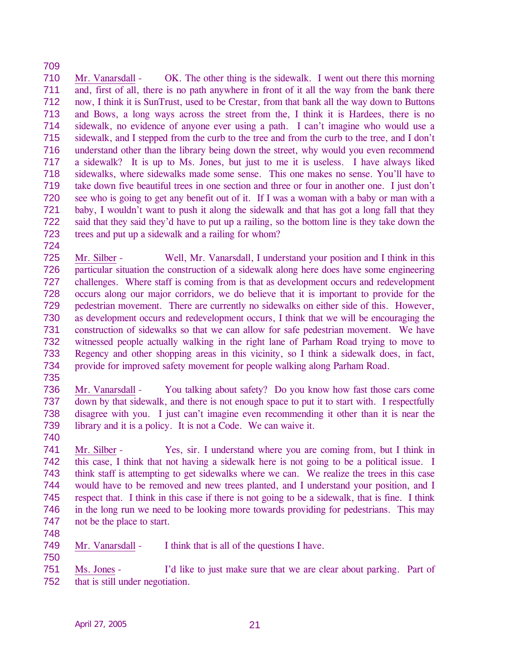710 711 712 713 714 715 716 717 718 719 720 721 722 723 Mr. Vanarsdall - OK. The other thing is the sidewalk. I went out there this morning and, first of all, there is no path anywhere in front of it all the way from the bank there now, I think it is SunTrust, used to be Crestar, from that bank all the way down to Buttons and Bows, a long ways across the street from the, I think it is Hardees, there is no sidewalk, no evidence of anyone ever using a path. I can't imagine who would use a sidewalk, and I stepped from the curb to the tree and from the curb to the tree, and I don't understand other than the library being down the street, why would you even recommend a sidewalk? It is up to Ms. Jones, but just to me it is useless. I have always liked sidewalks, where sidewalks made some sense. This one makes no sense. You'll have to take down five beautiful trees in one section and three or four in another one. I just don't see who is going to get any benefit out of it. If I was a woman with a baby or man with a baby, I wouldn't want to push it along the sidewalk and that has got a long fall that they said that they said they'd have to put up a railing, so the bottom line is they take down the trees and put up a sidewalk and a railing for whom?

725 726 727 728 729 730 731 732 733 734 Mr. Silber - Well, Mr. Vanarsdall, I understand your position and I think in this particular situation the construction of a sidewalk along here does have some engineering challenges. Where staff is coming from is that as development occurs and redevelopment occurs along our major corridors, we do believe that it is important to provide for the pedestrian movement. There are currently no sidewalks on either side of this. However, as development occurs and redevelopment occurs, I think that we will be encouraging the construction of sidewalks so that we can allow for safe pedestrian movement. We have witnessed people actually walking in the right lane of Parham Road trying to move to Regency and other shopping areas in this vicinity, so I think a sidewalk does, in fact, provide for improved safety movement for people walking along Parham Road.

735

740

724

709

736 737 738 739 Mr. Vanarsdall - You talking about safety? Do you know how fast those cars come down by that sidewalk, and there is not enough space to put it to start with. I respectfully disagree with you. I just can't imagine even recommending it other than it is near the library and it is a policy. It is not a Code. We can waive it.

- 741 742 743 744 745 746 747 Mr. Silber - Yes, sir. I understand where you are coming from, but I think in this case, I think that not having a sidewalk here is not going to be a political issue. I think staff is attempting to get sidewalks where we can. We realize the trees in this case would have to be removed and new trees planted, and I understand your position, and I respect that. I think in this case if there is not going to be a sidewalk, that is fine. I think in the long run we need to be looking more towards providing for pedestrians. This may not be the place to start.
- 748

750

- 749 Mr. Vanarsdall - I think that is all of the questions I have.
- 751 752 Ms. Jones - I'd like to just make sure that we are clear about parking. Part of that is still under negotiation.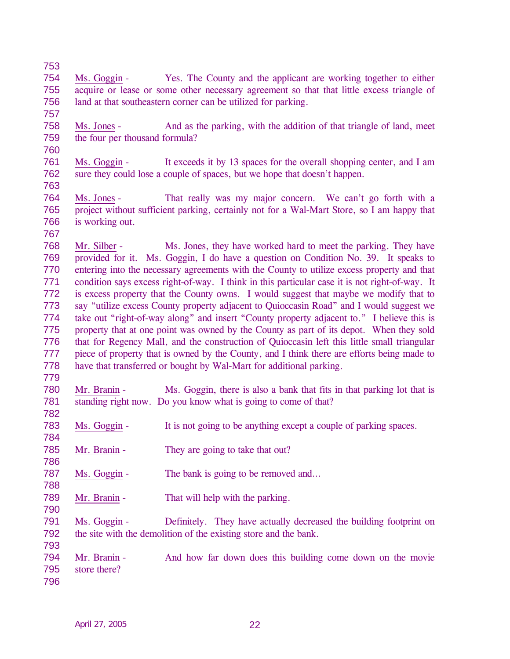753

754 755 756 Ms. Goggin - Yes. The County and the applicant are working together to either acquire or lease or some other necessary agreement so that that little excess triangle of land at that southeastern corner can be utilized for parking.

757

760

758 759 Ms. Jones - And as the parking, with the addition of that triangle of land, meet the four per thousand formula?

- 761 762 763 Ms. Goggin - It exceeds it by 13 spaces for the overall shopping center, and I am sure they could lose a couple of spaces, but we hope that doesn't happen.
- 764 765 766 Ms. Jones - That really was my major concern. We can't go forth with a project without sufficient parking, certainly not for a Wal-Mart Store, so I am happy that is working out.
- 767

768 769 770 771 772 773 774 775 776 777 778 Mr. Silber - Ms. Jones, they have worked hard to meet the parking. They have provided for it. Ms. Goggin, I do have a question on Condition No. 39. It speaks to entering into the necessary agreements with the County to utilize excess property and that condition says excess right-of-way. I think in this particular case it is not right-of-way. It is excess property that the County owns. I would suggest that maybe we modify that to say "utilize excess County property adjacent to Quioccasin Road" and I would suggest we take out "right-of-way along" and insert "County property adjacent to." I believe this is property that at one point was owned by the County as part of its depot. When they sold that for Regency Mall, and the construction of Quioccasin left this little small triangular piece of property that is owned by the County, and I think there are efforts being made to have that transferred or bought by Wal-Mart for additional parking.

779

784

786

788

790

793

780 781 782 Mr. Branin - Ms. Goggin, there is also a bank that fits in that parking lot that is standing right now. Do you know what is going to come of that?

- 783 Ms. Goggin - It is not going to be anything except a couple of parking spaces.
- 785 Mr. Branin - They are going to take that out?
- 787 Ms. Goggin - The bank is going to be removed and...
- 789 Mr. Branin - That will help with the parking.
- 791 792 Ms. Goggin - Definitely. They have actually decreased the building footprint on the site with the demolition of the existing store and the bank.
- 794 795 796 Mr. Branin - And how far down does this building come down on the movie store there?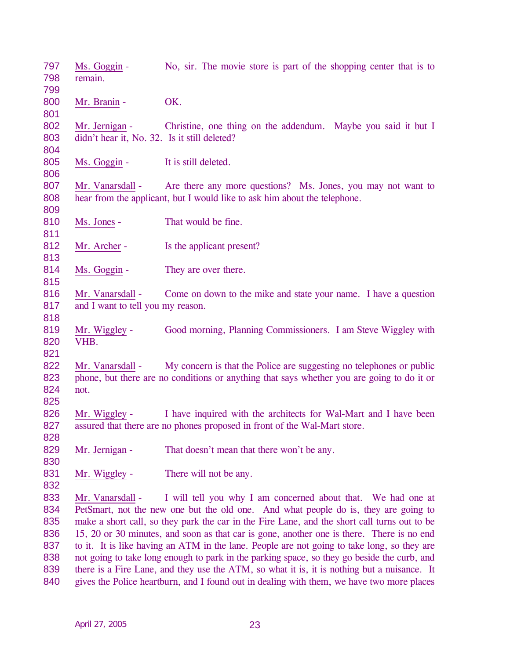| 797<br>798 | Ms. Goggin -<br>remain.                      | No, sir. The movie store is part of the shopping center that is to                           |
|------------|----------------------------------------------|----------------------------------------------------------------------------------------------|
| 799        |                                              |                                                                                              |
| 800        | Mr. Branin -                                 | OK.                                                                                          |
| 801        |                                              |                                                                                              |
| 802        | Mr. Jernigan -                               | Christine, one thing on the addendum. Maybe you said it but I                                |
| 803        | didn't hear it, No. 32. Is it still deleted? |                                                                                              |
| 804        |                                              |                                                                                              |
| 805        | Ms. Goggin -                                 | It is still deleted.                                                                         |
| 806        |                                              |                                                                                              |
| 807        |                                              | Mr. Vanarsdall - Are there any more questions? Ms. Jones, you may not want to                |
| 808        |                                              | hear from the applicant, but I would like to ask him about the telephone.                    |
| 809        |                                              |                                                                                              |
| 810        | Ms. Jones -                                  | That would be fine.                                                                          |
| 811        |                                              |                                                                                              |
| 812        |                                              |                                                                                              |
| 813        | Mr. Archer -                                 | Is the applicant present?                                                                    |
|            |                                              |                                                                                              |
| 814        | Ms. Goggin -                                 | They are over there.                                                                         |
| 815        |                                              |                                                                                              |
| 816        | Mr. Vanarsdall -                             | Come on down to the mike and state your name. I have a question                              |
| 817        | and I want to tell you my reason.            |                                                                                              |
| 818        |                                              |                                                                                              |
| 819        | Mr. Wiggley -                                | Good morning, Planning Commissioners. I am Steve Wiggley with                                |
| 820        | VHB.                                         |                                                                                              |
| 821        |                                              |                                                                                              |
| 822        | Mr. Vanarsdall -                             | My concern is that the Police are suggesting no telephones or public                         |
| 823        |                                              | phone, but there are no conditions or anything that says whether you are going to do it or   |
| 824        | not.                                         |                                                                                              |
| 825        |                                              |                                                                                              |
| 826        | Mr. Wiggley -                                | I have inquired with the architects for Wal-Mart and I have been                             |
| 827        |                                              | assured that there are no phones proposed in front of the Wal-Mart store.                    |
| 828        |                                              |                                                                                              |
| 829        | Mr. Jernigan -                               | That doesn't mean that there won't be any.                                                   |
| 830        |                                              |                                                                                              |
| 831        | Mr. Wiggley -                                | There will not be any.                                                                       |
| 832        |                                              |                                                                                              |
| 833        | Mr. Vanarsdall -                             | I will tell you why I am concerned about that. We had one at                                 |
| 834        |                                              | PetSmart, not the new one but the old one. And what people do is, they are going to          |
| 835        |                                              | make a short call, so they park the car in the Fire Lane, and the short call turns out to be |
| 836        |                                              | 15, 20 or 30 minutes, and soon as that car is gone, another one is there. There is no end    |
| 837        |                                              | to it. It is like having an ATM in the lane. People are not going to take long, so they are  |
| 838        |                                              | not going to take long enough to park in the parking space, so they go beside the curb, and  |
| 839        |                                              | there is a Fire Lane, and they use the ATM, so what it is, it is nothing but a nuisance. It  |
| 840        |                                              | gives the Police heartburn, and I found out in dealing with them, we have two more places    |
|            |                                              |                                                                                              |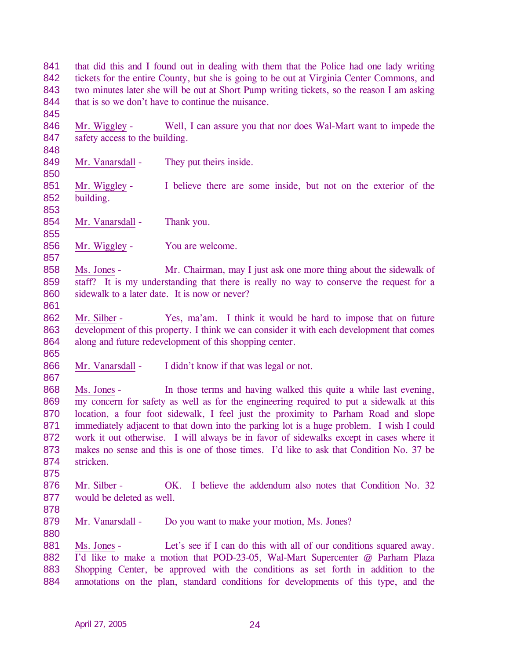841 842 843 844 845 that did this and I found out in dealing with them that the Police had one lady writing tickets for the entire County, but she is going to be out at Virginia Center Commons, and two minutes later she will be out at Short Pump writing tickets, so the reason I am asking that is so we don't have to continue the nuisance.

846 847 Mr. Wiggley - Well, I can assure you that nor does Wal-Mart want to impede the safety access to the building.

849 Mr. Vanarsdall - They put theirs inside.

851 852 Mr. Wiggley - I believe there are some inside, but not on the exterior of the building.

- 854 Mr. Vanarsdall - Thank you.
- 856 Mr. Wiggley - You are welcome.

858 859 860 Ms. Jones - Mr. Chairman, may I just ask one more thing about the sidewalk of staff? It is my understanding that there is really no way to conserve the request for a sidewalk to a later date. It is now or never?

861

865

867

848

850

853

855

857

862 863 864 Mr. Silber - Yes, ma'am. I think it would be hard to impose that on future development of this property. I think we can consider it with each development that comes along and future redevelopment of this shopping center.

866 Mr. Vanarsdall - I didn't know if that was legal or not.

868 869 870 871 872 873 874 Ms. Jones - In those terms and having walked this quite a while last evening, my concern for safety as well as for the engineering required to put a sidewalk at this location, a four foot sidewalk, I feel just the proximity to Parham Road and slope immediately adjacent to that down into the parking lot is a huge problem. I wish I could work it out otherwise. I will always be in favor of sidewalks except in cases where it makes no sense and this is one of those times. I'd like to ask that Condition No. 37 be stricken.

- 876 877 Mr. Silber - COC. I believe the addendum also notes that Condition No. 32 would be deleted as well.
- 878

875

879 880 Mr. Vanarsdall - Do you want to make your motion, Ms. Jones?

881 882 883 884 Ms. Jones - Let's see if I can do this with all of our conditions squared away. I'd like to make a motion that POD-23-05, Wal-Mart Supercenter @ Parham Plaza Shopping Center, be approved with the conditions as set forth in addition to the annotations on the plan, standard conditions for developments of this type, and the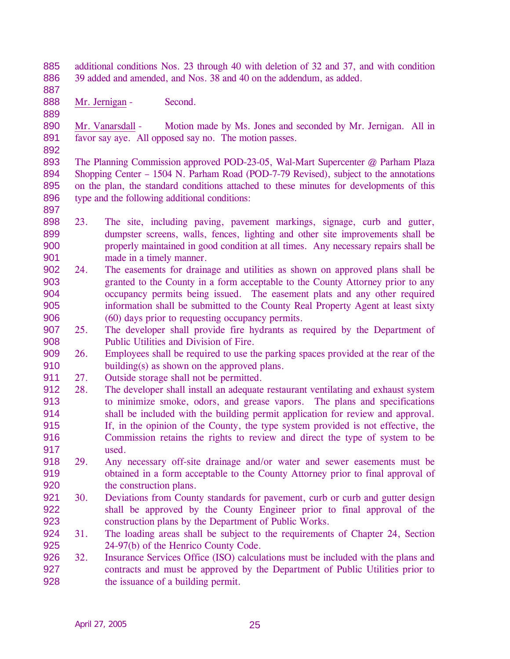885 886 additional conditions Nos. 23 through 40 with deletion of 32 and 37, and with condition 39 added and amended, and Nos. 38 and 40 on the addendum, as added.

887 888

889

Mr. Jernigan - Second.

890 891 Mr. Vanarsdall - Motion made by Ms. Jones and seconded by Mr. Jernigan. All in favor say aye. All opposed say no. The motion passes.

892

897

893 894 895 896 The Planning Commission approved POD-23-05, Wal-Mart Supercenter @ Parham Plaza Shopping Center – 1504 N. Parham Road (POD-7-79 Revised), subject to the annotations on the plan, the standard conditions attached to these minutes for developments of this type and the following additional conditions:

- 898 899 900 901 23. The site, including paving, pavement markings, signage, curb and gutter, dumpster screens, walls, fences, lighting and other site improvements shall be properly maintained in good condition at all times. Any necessary repairs shall be made in a timely manner.
- 902 903 904 905 906 24. The easements for drainage and utilities as shown on approved plans shall be granted to the County in a form acceptable to the County Attorney prior to any occupancy permits being issued. The easement plats and any other required information shall be submitted to the County Real Property Agent at least sixty (60) days prior to requesting occupancy permits.
- 907 908 25. The developer shall provide fire hydrants as required by the Department of Public Utilities and Division of Fire.
- 909 910 26. Employees shall be required to use the parking spaces provided at the rear of the building(s) as shown on the approved plans.
- 911 27. Outside storage shall not be permitted.
- 912 913 914 915 916 917 28. The developer shall install an adequate restaurant ventilating and exhaust system to minimize smoke, odors, and grease vapors. The plans and specifications shall be included with the building permit application for review and approval. If, in the opinion of the County, the type system provided is not effective, the Commission retains the rights to review and direct the type of system to be used.
- 918 919 920 29. Any necessary off-site drainage and/or water and sewer easements must be obtained in a form acceptable to the County Attorney prior to final approval of the construction plans.
- 921 922 923 30. Deviations from County standards for pavement, curb or curb and gutter design shall be approved by the County Engineer prior to final approval of the construction plans by the Department of Public Works.
- 924 925 31. The loading areas shall be subject to the requirements of Chapter 24, Section 24-97(b) of the Henrico County Code.
- 926 927 928 32. Insurance Services Office (ISO) calculations must be included with the plans and contracts and must be approved by the Department of Public Utilities prior to the issuance of a building permit.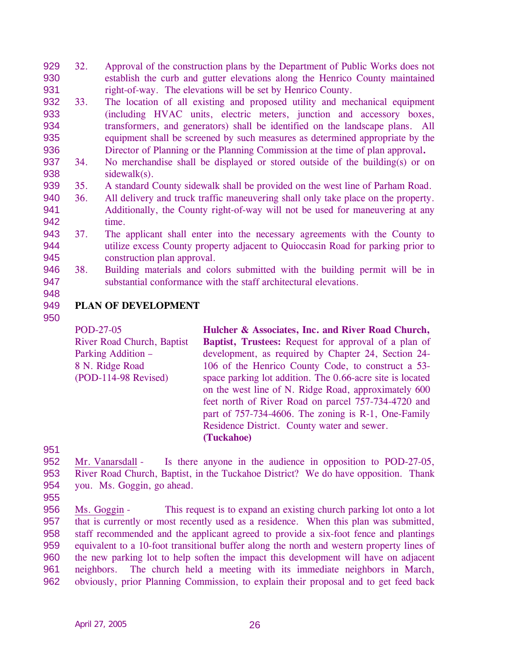- 929 930 931 32. Approval of the construction plans by the Department of Public Works does not establish the curb and gutter elevations along the Henrico County maintained right-of-way. The elevations will be set by Henrico County.
- 932 933 934 935 936 33. The location of all existing and proposed utility and mechanical equipment (including HVAC units, electric meters, junction and accessory boxes, transformers, and generators) shall be identified on the landscape plans. All equipment shall be screened by such measures as determined appropriate by the Director of Planning or the Planning Commission at the time of plan approval**.**
- 937 938 34. No merchandise shall be displayed or stored outside of the building(s) or on sidewalk(s).
- 939 35. A standard County sidewalk shall be provided on the west line of Parham Road.
- 940 941 942 36. All delivery and truck traffic maneuvering shall only take place on the property. Additionally, the County right-of-way will not be used for maneuvering at any time.
- 943 944 945 37. The applicant shall enter into the necessary agreements with the County to utilize excess County property adjacent to Quioccasin Road for parking prior to construction plan approval.
- 946 947 38. Building materials and colors submitted with the building permit will be in substantial conformance with the staff architectural elevations.
- 948

### 949 **PLAN OF DEVELOPMENT**

950

POD-27-05 River Road Church, Baptist Parking Addition – 8 N. Ridge Road (POD-114-98 Revised) **Hulcher & Associates, Inc. and River Road Church, Baptist, Trustees:** Request for approval of a plan of development, as required by Chapter 24, Section 24- 106 of the Henrico County Code, to construct a 53 space parking lot addition. The 0.66-acre site is located on the west line of N. Ridge Road, approximately 600 feet north of River Road on parcel 757-734-4720 and part of 757-734-4606. The zoning is R-1, One-Family Residence District. County water and sewer. **(Tuckahoe)** 

951

- 952 953 954 Mr. Vanarsdall - Is there anyone in the audience in opposition to POD-27-05, River Road Church, Baptist, in the Tuckahoe District? We do have opposition. Thank you. Ms. Goggin, go ahead.
- 955

956 957 958 959 960 961 962 Ms. Goggin - This request is to expand an existing church parking lot onto a lot that is currently or most recently used as a residence. When this plan was submitted, staff recommended and the applicant agreed to provide a six-foot fence and plantings equivalent to a 10-foot transitional buffer along the north and western property lines of the new parking lot to help soften the impact this development will have on adjacent neighbors. The church held a meeting with its immediate neighbors in March, obviously, prior Planning Commission, to explain their proposal and to get feed back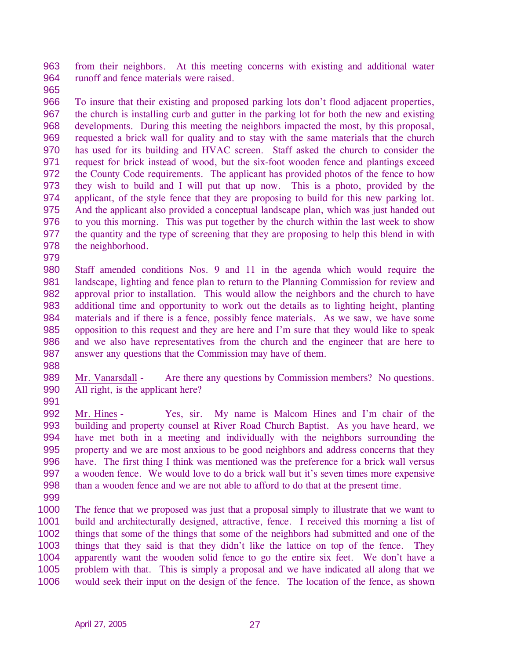963 964 from their neighbors. At this meeting concerns with existing and additional water runoff and fence materials were raised.

965

966 967 968 969 970 971 972 973 974 975 976 977 978 To insure that their existing and proposed parking lots don't flood adjacent properties, the church is installing curb and gutter in the parking lot for both the new and existing developments. During this meeting the neighbors impacted the most, by this proposal, requested a brick wall for quality and to stay with the same materials that the church has used for its building and HVAC screen. Staff asked the church to consider the request for brick instead of wood, but the six-foot wooden fence and plantings exceed the County Code requirements. The applicant has provided photos of the fence to how they wish to build and I will put that up now. This is a photo, provided by the applicant, of the style fence that they are proposing to build for this new parking lot. And the applicant also provided a conceptual landscape plan, which was just handed out to you this morning. This was put together by the church within the last week to show the quantity and the type of screening that they are proposing to help this blend in with the neighborhood.

979

980 981 982 983 984 985 986 987 Staff amended conditions Nos. 9 and 11 in the agenda which would require the landscape, lighting and fence plan to return to the Planning Commission for review and approval prior to installation. This would allow the neighbors and the church to have additional time and opportunity to work out the details as to lighting height, planting materials and if there is a fence, possibly fence materials. As we saw, we have some opposition to this request and they are here and I'm sure that they would like to speak and we also have representatives from the church and the engineer that are here to answer any questions that the Commission may have of them.

988

989 990 Mr. Vanarsdall - Are there any questions by Commission members? No questions. All right, is the applicant here?

991

992 993 994 995 996 997 998 Mr. Hines - Yes, sir. My name is Malcom Hines and I'm chair of the building and property counsel at River Road Church Baptist. As you have heard, we have met both in a meeting and individually with the neighbors surrounding the property and we are most anxious to be good neighbors and address concerns that they have. The first thing I think was mentioned was the preference for a brick wall versus a wooden fence. We would love to do a brick wall but it's seven times more expensive than a wooden fence and we are not able to afford to do that at the present time.

999

1000 1001 1002 1003 1004 1005 1006 The fence that we proposed was just that a proposal simply to illustrate that we want to build and architecturally designed, attractive, fence. I received this morning a list of things that some of the things that some of the neighbors had submitted and one of the things that they said is that they didn't like the lattice on top of the fence. They apparently want the wooden solid fence to go the entire six feet. We don't have a problem with that. This is simply a proposal and we have indicated all along that we would seek their input on the design of the fence. The location of the fence, as shown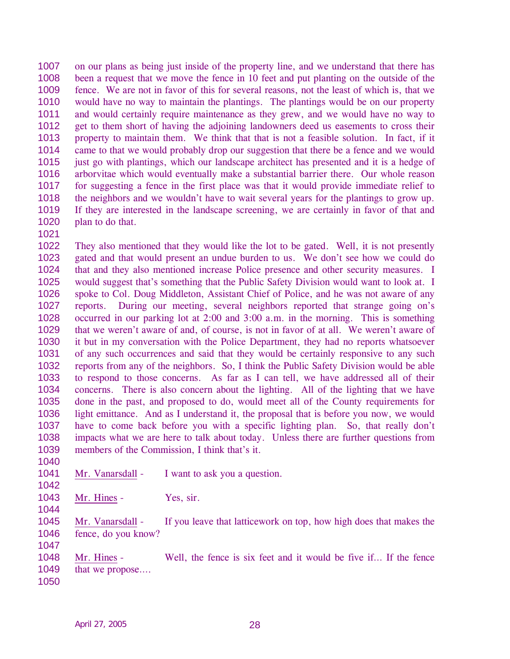1007 1008 1009 1010 1011 1012 1013 1014 1015 1016 1017 1018 1019 1020 on our plans as being just inside of the property line, and we understand that there has been a request that we move the fence in 10 feet and put planting on the outside of the fence. We are not in favor of this for several reasons, not the least of which is, that we would have no way to maintain the plantings. The plantings would be on our property and would certainly require maintenance as they grew, and we would have no way to get to them short of having the adjoining landowners deed us easements to cross their property to maintain them. We think that that is not a feasible solution. In fact, if it came to that we would probably drop our suggestion that there be a fence and we would just go with plantings, which our landscape architect has presented and it is a hedge of arborvitae which would eventually make a substantial barrier there. Our whole reason for suggesting a fence in the first place was that it would provide immediate relief to the neighbors and we wouldn't have to wait several years for the plantings to grow up. If they are interested in the landscape screening, we are certainly in favor of that and plan to do that.

1021

1022 1023 1024 1025 1026 1027 1028 1029 1030 1031 1032 1033 1034 1035 1036 1037 1038 1039 They also mentioned that they would like the lot to be gated. Well, it is not presently gated and that would present an undue burden to us. We don't see how we could do that and they also mentioned increase Police presence and other security measures. I would suggest that's something that the Public Safety Division would want to look at. I spoke to Col. Doug Middleton, Assistant Chief of Police, and he was not aware of any reports. During our meeting, several neighbors reported that strange going on's occurred in our parking lot at 2:00 and 3:00 a.m. in the morning. This is something that we weren't aware of and, of course, is not in favor of at all. We weren't aware of it but in my conversation with the Police Department, they had no reports whatsoever of any such occurrences and said that they would be certainly responsive to any such reports from any of the neighbors. So, I think the Public Safety Division would be able to respond to those concerns. As far as I can tell, we have addressed all of their concerns. There is also concern about the lighting. All of the lighting that we have done in the past, and proposed to do, would meet all of the County requirements for light emittance. And as I understand it, the proposal that is before you now, we would have to come back before you with a specific lighting plan. So, that really don't impacts what we are here to talk about today. Unless there are further questions from members of the Commission, I think that's it.

- 1040
- 1041 Mr. Vanarsdall - I want to ask you a question.
- 1042
- 1043 Mr. Hines - Yes, sir.
- 1044
- 1045 1046 1047

Mr. Vanarsdall - If you leave that latticework on top, how high does that makes the fence, do you know?

1048 1049 Mr. Hines - Well, the fence is six feet and it would be five if... If the fence that we propose….

1050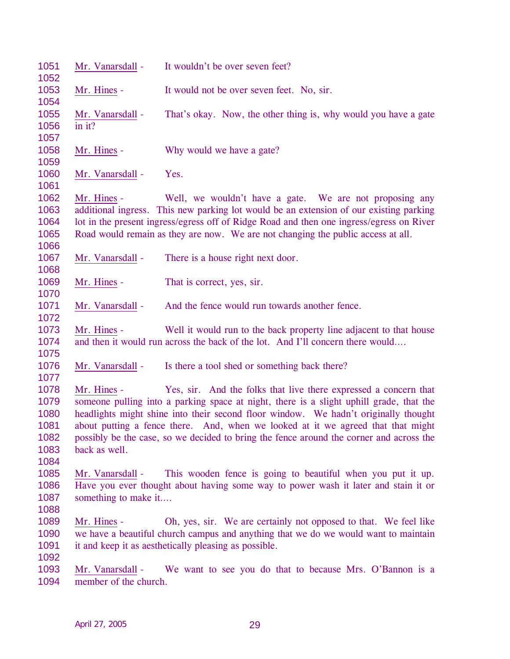| 1051<br>1052                                         | Mr. Vanarsdall -                          | It wouldn't be over seven feet?                                                                                                                                                                                                                                                                                                                                                                                                   |
|------------------------------------------------------|-------------------------------------------|-----------------------------------------------------------------------------------------------------------------------------------------------------------------------------------------------------------------------------------------------------------------------------------------------------------------------------------------------------------------------------------------------------------------------------------|
| 1053<br>1054                                         | Mr. Hines -                               | It would not be over seven feet. No, sir.                                                                                                                                                                                                                                                                                                                                                                                         |
| 1055<br>1056<br>1057                                 | Mr. Vanarsdall -<br>in it?                | That's okay. Now, the other thing is, why would you have a gate                                                                                                                                                                                                                                                                                                                                                                   |
| 1058<br>1059                                         | Mr. Hines -                               | Why would we have a gate?                                                                                                                                                                                                                                                                                                                                                                                                         |
| 1060<br>1061                                         | Mr. Vanarsdall -                          | Yes.                                                                                                                                                                                                                                                                                                                                                                                                                              |
| 1062<br>1063<br>1064<br>1065<br>1066                 | Mr. Hines -                               | Well, we wouldn't have a gate. We are not proposing any<br>additional ingress. This new parking lot would be an extension of our existing parking<br>lot in the present ingress/egress off of Ridge Road and then one ingress/egress on River<br>Road would remain as they are now. We are not changing the public access at all.                                                                                                 |
| 1067<br>1068                                         | Mr. Vanarsdall -                          | There is a house right next door.                                                                                                                                                                                                                                                                                                                                                                                                 |
| 1069<br>1070                                         | Mr. Hines -                               | That is correct, yes, sir.                                                                                                                                                                                                                                                                                                                                                                                                        |
| 1071<br>1072                                         | Mr. Vanarsdall -                          | And the fence would run towards another fence.                                                                                                                                                                                                                                                                                                                                                                                    |
| 1073<br>1074<br>1075                                 | Mr. Hines -                               | Well it would run to the back property line adjacent to that house<br>and then it would run across the back of the lot. And I'll concern there would                                                                                                                                                                                                                                                                              |
| 1076<br>1077                                         | Mr. Vanarsdall -                          | Is there a tool shed or something back there?                                                                                                                                                                                                                                                                                                                                                                                     |
| 1078<br>1079<br>1080<br>1081<br>1082<br>1083<br>1084 | Mr. Hines -<br>back as well.              | Yes, sir. And the folks that live there expressed a concern that<br>someone pulling into a parking space at night, there is a slight uphill grade, that the<br>headlights might shine into their second floor window. We hadn't originally thought<br>about putting a fence there. And, when we looked at it we agreed that that might<br>possibly be the case, so we decided to bring the fence around the corner and across the |
| 1085<br>1086<br>1087<br>1088                         | Mr. Vanarsdall -<br>something to make it  | This wooden fence is going to beautiful when you put it up.<br>Have you ever thought about having some way to power wash it later and stain it or                                                                                                                                                                                                                                                                                 |
| 1089<br>1090<br>1091<br>1092                         | Mr. Hines -                               | Oh, yes, sir. We are certainly not opposed to that. We feel like<br>we have a beautiful church campus and anything that we do we would want to maintain<br>it and keep it as aesthetically pleasing as possible.                                                                                                                                                                                                                  |
| 1093<br>1094                                         | Mr. Vanarsdall -<br>member of the church. | We want to see you do that to because Mrs. O'Bannon is a                                                                                                                                                                                                                                                                                                                                                                          |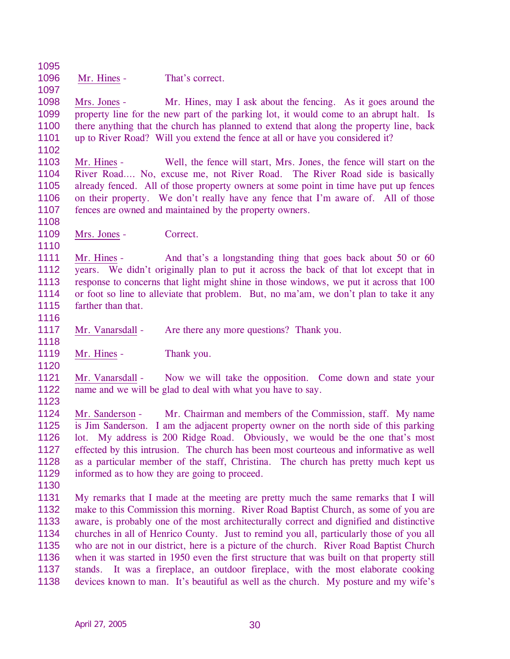1096 Mr. Hines - That's correct.

1098 1099 1100 1101 Mrs. Jones - Mr. Hines, may I ask about the fencing. As it goes around the property line for the new part of the parking lot, it would come to an abrupt halt. Is there anything that the church has planned to extend that along the property line, back up to River Road? Will you extend the fence at all or have you considered it?

1102

1095

1097

1103 1104 1105 1106 1107 Mr. Hines - Well, the fence will start, Mrs. Jones, the fence will start on the River Road…. No, excuse me, not River Road. The River Road side is basically already fenced. All of those property owners at some point in time have put up fences on their property. We don't really have any fence that I'm aware of. All of those fences are owned and maintained by the property owners.

1108 1109

1110

Mrs. Jones - Correct.

1111 1112 1113 1114 1115 Mr. Hines - And that's a longstanding thing that goes back about 50 or 60 years. We didn't originally plan to put it across the back of that lot except that in response to concerns that light might shine in those windows, we put it across that 100 or foot so line to alleviate that problem. But, no ma'am, we don't plan to take it any farther than that.

1116

1117 1118 Mr. Vanarsdall - Are there any more questions? Thank you.

1119 Mr. Hines - Thank you.

1121 1122 Mr. Vanarsdall - Now we will take the opposition. Come down and state your name and we will be glad to deal with what you have to say.

1123

1120

1124 1125 1126 1127 1128 1129 Mr. Sanderson - Mr. Chairman and members of the Commission, staff. My name is Jim Sanderson. I am the adjacent property owner on the north side of this parking lot. My address is 200 Ridge Road. Obviously, we would be the one that's most effected by this intrusion. The church has been most courteous and informative as well as a particular member of the staff, Christina. The church has pretty much kept us informed as to how they are going to proceed.

1130

1131 1132 1133 1134 1135 1136 1137 1138 My remarks that I made at the meeting are pretty much the same remarks that I will make to this Commission this morning. River Road Baptist Church, as some of you are aware, is probably one of the most architecturally correct and dignified and distinctive churches in all of Henrico County. Just to remind you all, particularly those of you all who are not in our district, here is a picture of the church. River Road Baptist Church when it was started in 1950 even the first structure that was built on that property still stands. It was a fireplace, an outdoor fireplace, with the most elaborate cooking devices known to man. It's beautiful as well as the church. My posture and my wife's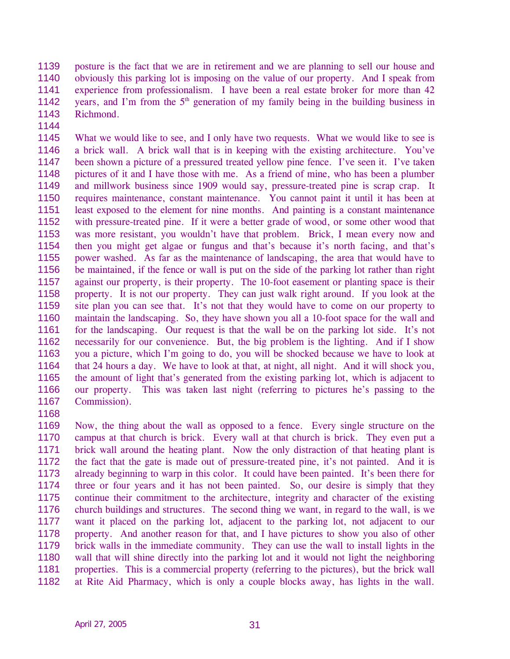posture is the fact that we are in retirement and we are planning to sell our house and obviously this parking lot is imposing on the value of our property. And I speak from experience from professionalism. I have been a real estate broker for more than 42 years, and I'm from the  $5<sup>th</sup>$  generation of my family being in the building business in 1139 1140 1141 1142 1143 Richmond.

1144

1145 1146 1147 1148 1149 1150 1151 1152 1153 1154 1155 1156 1157 1158 1159 1160 1161 1162 1163 1164 1165 1166 1167 What we would like to see, and I only have two requests. What we would like to see is a brick wall. A brick wall that is in keeping with the existing architecture. You've been shown a picture of a pressured treated yellow pine fence. I've seen it. I've taken pictures of it and I have those with me. As a friend of mine, who has been a plumber and millwork business since 1909 would say, pressure-treated pine is scrap crap. It requires maintenance, constant maintenance. You cannot paint it until it has been at least exposed to the element for nine months. And painting is a constant maintenance with pressure-treated pine. If it were a better grade of wood, or some other wood that was more resistant, you wouldn't have that problem. Brick, I mean every now and then you might get algae or fungus and that's because it's north facing, and that's power washed. As far as the maintenance of landscaping, the area that would have to be maintained, if the fence or wall is put on the side of the parking lot rather than right against our property, is their property. The 10-foot easement or planting space is their property. It is not our property. They can just walk right around. If you look at the site plan you can see that. It's not that they would have to come on our property to maintain the landscaping. So, they have shown you all a 10-foot space for the wall and for the landscaping. Our request is that the wall be on the parking lot side. It's not necessarily for our convenience. But, the big problem is the lighting. And if I show you a picture, which I'm going to do, you will be shocked because we have to look at that 24 hours a day. We have to look at that, at night, all night. And it will shock you, the amount of light that's generated from the existing parking lot, which is adjacent to our property. This was taken last night (referring to pictures he's passing to the Commission).

1168

1169 1170 1171 1172 1173 1174 1175 1176 1177 1178 1179 1180 1181 1182 Now, the thing about the wall as opposed to a fence. Every single structure on the campus at that church is brick. Every wall at that church is brick. They even put a brick wall around the heating plant. Now the only distraction of that heating plant is the fact that the gate is made out of pressure-treated pine, it's not painted. And it is already beginning to warp in this color. It could have been painted. It's been there for three or four years and it has not been painted. So, our desire is simply that they continue their commitment to the architecture, integrity and character of the existing church buildings and structures. The second thing we want, in regard to the wall, is we want it placed on the parking lot, adjacent to the parking lot, not adjacent to our property. And another reason for that, and I have pictures to show you also of other brick walls in the immediate community. They can use the wall to install lights in the wall that will shine directly into the parking lot and it would not light the neighboring properties. This is a commercial property (referring to the pictures), but the brick wall at Rite Aid Pharmacy, which is only a couple blocks away, has lights in the wall.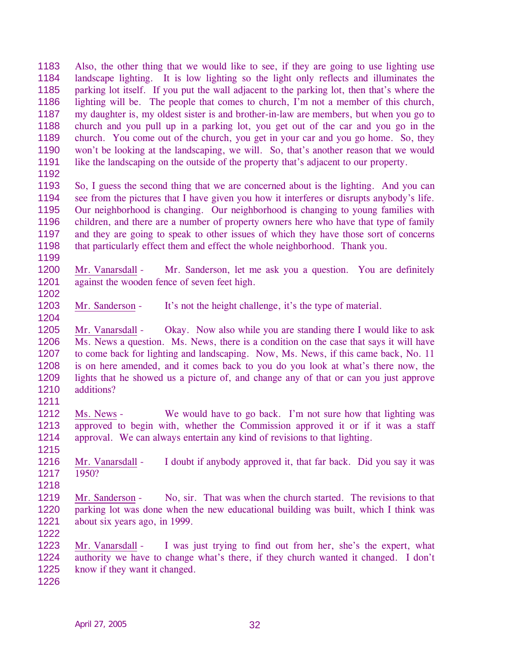1183 1184 1185 1186 1187 1188 1189 1190 1191 1192 Also, the other thing that we would like to see, if they are going to use lighting use landscape lighting. It is low lighting so the light only reflects and illuminates the parking lot itself. If you put the wall adjacent to the parking lot, then that's where the lighting will be. The people that comes to church, I'm not a member of this church, my daughter is, my oldest sister is and brother-in-law are members, but when you go to church and you pull up in a parking lot, you get out of the car and you go in the church. You come out of the church, you get in your car and you go home. So, they won't be looking at the landscaping, we will. So, that's another reason that we would like the landscaping on the outside of the property that's adjacent to our property.

- 1193 1194 1195 1196 1197 1198 So, I guess the second thing that we are concerned about is the lighting. And you can see from the pictures that I have given you how it interferes or disrupts anybody's life. Our neighborhood is changing. Our neighborhood is changing to young families with children, and there are a number of property owners here who have that type of family and they are going to speak to other issues of which they have those sort of concerns that particularly effect them and effect the whole neighborhood. Thank you.
- 1199
- 1200 1201 Mr. Vanarsdall - Mr. Sanderson, let me ask you a question. You are definitely against the wooden fence of seven feet high.
- 1202

1204

1203 Mr. Sanderson - It's not the height challenge, it's the type of material.

1205 1206 1207 1208 1209 1210 Mr. Vanarsdall - Okay. Now also while you are standing there I would like to ask Ms. News a question. Ms. News, there is a condition on the case that says it will have to come back for lighting and landscaping. Now, Ms. News, if this came back, No. 11 is on here amended, and it comes back to you do you look at what's there now, the lights that he showed us a picture of, and change any of that or can you just approve additions?

- 1211
- 1212 1213 1214 1215 Ms. News - We would have to go back. I'm not sure how that lighting was approved to begin with, whether the Commission approved it or if it was a staff approval. We can always entertain any kind of revisions to that lighting.
- 1216 1217 Mr. Vanarsdall - I doubt if anybody approved it, that far back. Did you say it was 1950?
- 1218
- 1219 1220 1221 1222 Mr. Sanderson - No, sir. That was when the church started. The revisions to that parking lot was done when the new educational building was built, which I think was about six years ago, in 1999.
- 1223 1224 1225 Mr. Vanarsdall - I was just trying to find out from her, she's the expert, what authority we have to change what's there, if they church wanted it changed. I don't know if they want it changed.
- 1226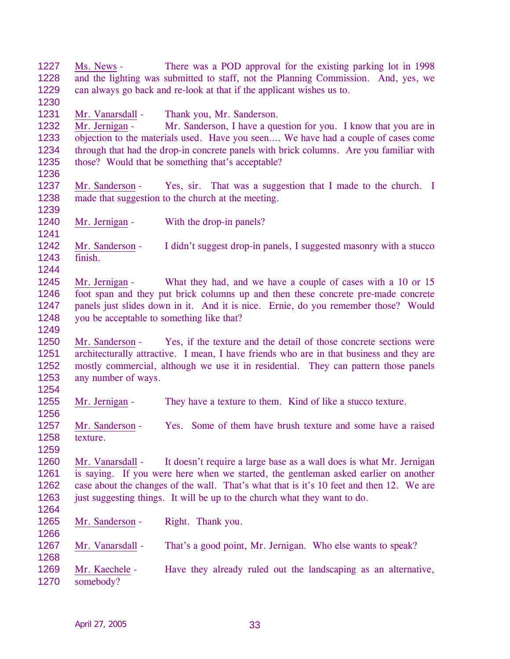1227 1228 1229 1230 Ms. News - There was a POD approval for the existing parking lot in 1998 and the lighting was submitted to staff, not the Planning Commission. And, yes, we can always go back and re-look at that if the applicant wishes us to. 1231 Mr. Vanarsdall - Thank you, Mr. Sanderson. 1232 1233 1234 1235 1236 Mr. Jernigan - Mr. Sanderson, I have a question for you. I know that you are in objection to the materials used. Have you seen…. We have had a couple of cases come through that had the drop-in concrete panels with brick columns. Are you familiar with those? Would that be something that's acceptable? 1237 1238 1239 Mr. Sanderson - Yes, sir. That was a suggestion that I made to the church. I made that suggestion to the church at the meeting. 1240 1241 Mr. Jernigan - With the drop-in panels? 1242 1243 1244 Mr. Sanderson - I didn't suggest drop-in panels, I suggested masonry with a stucco finish. 1245 1246 1247 1248 1249 Mr. Jernigan - What they had, and we have a couple of cases with a 10 or 15 foot span and they put brick columns up and then these concrete pre-made concrete panels just slides down in it. And it is nice. Ernie, do you remember those? Would you be acceptable to something like that? 1250 1251 1252 1253 1254 Mr. Sanderson - Yes, if the texture and the detail of those concrete sections were architecturally attractive. I mean, I have friends who are in that business and they are mostly commercial, although we use it in residential. They can pattern those panels any number of ways. 1255 1256 Mr. Jernigan - They have a texture to them. Kind of like a stucco texture. 1257 1258 1259 Mr. Sanderson - Yes. Some of them have brush texture and some have a raised texture. 1260 1261 1262 1263 1264 Mr. Vanarsdall - It doesn't require a large base as a wall does is what Mr. Jernigan is saying. If you were here when we started, the gentleman asked earlier on another case about the changes of the wall. That's what that is it's 10 feet and then 12. We are just suggesting things. It will be up to the church what they want to do. 1265 1266 Mr. Sanderson - Right. Thank you. 1267 1268 Mr. Vanarsdall - That's a good point, Mr. Jernigan. Who else wants to speak? 1269 1270 Mr. Kaechele - Have they already ruled out the landscaping as an alternative, somebody?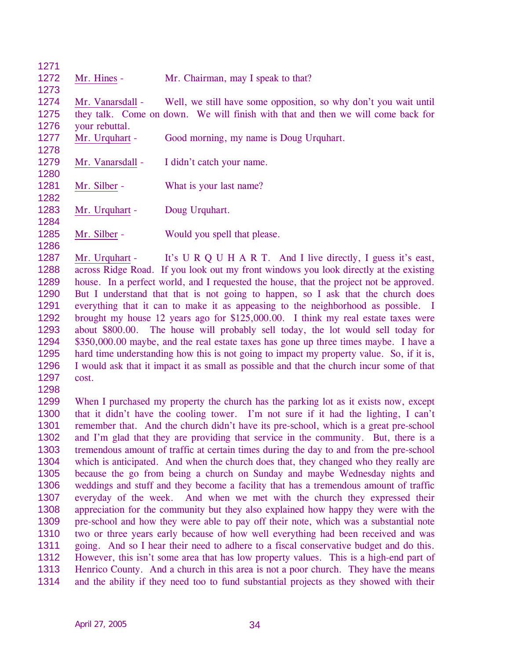| 1271 |                  |                                                                                  |
|------|------------------|----------------------------------------------------------------------------------|
| 1272 | Mr. Hines -      | Mr. Chairman, may I speak to that?                                               |
| 1273 |                  |                                                                                  |
| 1274 | Mr. Vanarsdall - | Well, we still have some opposition, so why don't you wait until                 |
| 1275 |                  | they talk. Come on down. We will finish with that and then we will come back for |
| 1276 | your rebuttal.   |                                                                                  |
| 1277 | Mr. Urguhart -   | Good morning, my name is Doug Urquhart.                                          |
| 1278 |                  |                                                                                  |
| 1279 | Mr. Vanarsdall - | I didn't catch your name.                                                        |
| 1280 |                  |                                                                                  |
| 1281 | Mr. Silber -     | What is your last name?                                                          |
| 1282 |                  |                                                                                  |
| 1283 | Mr. Urquhart -   | Doug Urquhart.                                                                   |
| 1284 |                  |                                                                                  |
| 1285 | Mr. Silber -     | Would you spell that please.                                                     |
| 1286 |                  |                                                                                  |

1287 1288 1289 1290 1291 1292 1293 1294 1295 1296 1297 Mr. Urquhart - It's U R Q U H A R T. And I live directly, I guess it's east, across Ridge Road. If you look out my front windows you look directly at the existing house. In a perfect world, and I requested the house, that the project not be approved. But I understand that that is not going to happen, so I ask that the church does everything that it can to make it as appeasing to the neighborhood as possible. I brought my house 12 years ago for \$125,000.00. I think my real estate taxes were about \$800.00. The house will probably sell today, the lot would sell today for \$350,000.00 maybe, and the real estate taxes has gone up three times maybe. I have a hard time understanding how this is not going to impact my property value. So, if it is, I would ask that it impact it as small as possible and that the church incur some of that cost.

1298

1299 1300 1301 1302 1303 1304 1305 1306 1307 1308 1309 1310 1311 1312 1313 1314 When I purchased my property the church has the parking lot as it exists now, except that it didn't have the cooling tower. I'm not sure if it had the lighting, I can't remember that. And the church didn't have its pre-school, which is a great pre-school and I'm glad that they are providing that service in the community. But, there is a tremendous amount of traffic at certain times during the day to and from the pre-school which is anticipated. And when the church does that, they changed who they really are because the go from being a church on Sunday and maybe Wednesday nights and weddings and stuff and they become a facility that has a tremendous amount of traffic everyday of the week. And when we met with the church they expressed their appreciation for the community but they also explained how happy they were with the pre-school and how they were able to pay off their note, which was a substantial note two or three years early because of how well everything had been received and was going. And so I hear their need to adhere to a fiscal conservative budget and do this. However, this isn't some area that has low property values. This is a high-end part of Henrico County. And a church in this area is not a poor church. They have the means and the ability if they need too to fund substantial projects as they showed with their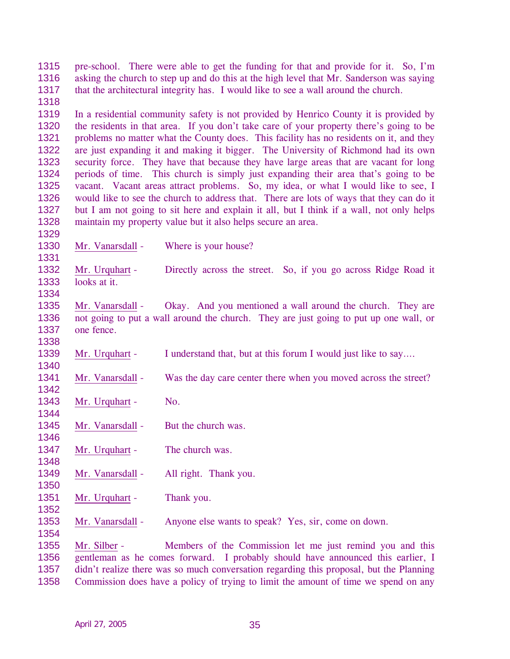1315 1316 1317 pre-school. There were able to get the funding for that and provide for it. So, I'm asking the church to step up and do this at the high level that Mr. Sanderson was saying that the architectural integrity has. I would like to see a wall around the church.

1318

1319 1320 1321 1322 1323 1324 1325 1326 1327 1328 In a residential community safety is not provided by Henrico County it is provided by the residents in that area. If you don't take care of your property there's going to be problems no matter what the County does. This facility has no residents on it, and they are just expanding it and making it bigger. The University of Richmond had its own security force. They have that because they have large areas that are vacant for long periods of time. This church is simply just expanding their area that's going to be vacant. Vacant areas attract problems. So, my idea, or what I would like to see, I would like to see the church to address that. There are lots of ways that they can do it but I am not going to sit here and explain it all, but I think if a wall, not only helps maintain my property value but it also helps secure an area.

1329 1330

1331

1338

1340

1342

1344

1346

1348

1350

Mr. Vanarsdall - Where is your house?

1332 1333 1334 Mr. Urquhart - Directly across the street. So, if you go across Ridge Road it looks at it.

1335 1336 1337 Mr. Vanarsdall - Okay. And you mentioned a wall around the church. They are not going to put a wall around the church. They are just going to put up one wall, or one fence.

1339 Mr. Urquhart - I understand that, but at this forum I would just like to say....

1341 Mr. Vanarsdall - Was the day care center there when you moved across the street?

- 1343 Mr. Urquhart - No.
- 1345 Mr. Vanarsdall - But the church was.
- 1347 Mr. Urquhart - The church was.
- 1349 Mr. Vanarsdall - All right. Thank you.
- 1351 Mr. Urquhart - Thank you.
- 1352 1353

1354 Mr. Vanarsdall - Anyone else wants to speak? Yes, sir, come on down.

1355 1356 1357 1358 Mr. Silber - Members of the Commission let me just remind you and this gentleman as he comes forward. I probably should have announced this earlier, I didn't realize there was so much conversation regarding this proposal, but the Planning Commission does have a policy of trying to limit the amount of time we spend on any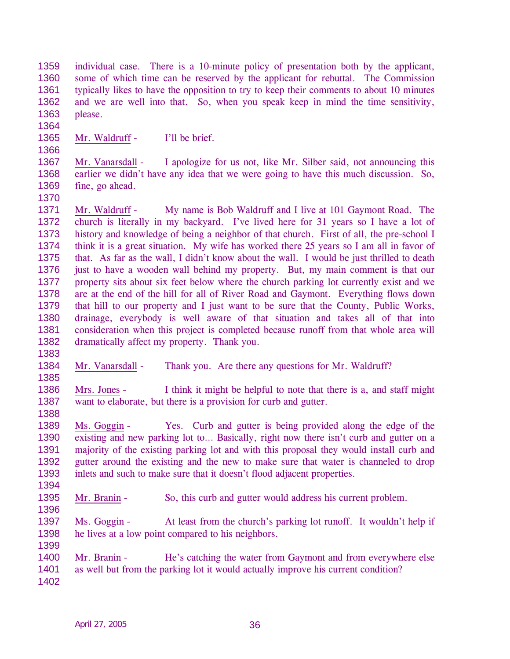1359 1360 1361 1362 1363 individual case. There is a 10-minute policy of presentation both by the applicant, some of which time can be reserved by the applicant for rebuttal. The Commission typically likes to have the opposition to try to keep their comments to about 10 minutes and we are well into that. So, when you speak keep in mind the time sensitivity, please.

1364

1366

1365 Mr. Waldruff - I'll be brief.

1367 1368 1369 Mr. Vanarsdall - I apologize for us not, like Mr. Silber said, not announcing this earlier we didn't have any idea that we were going to have this much discussion. So, fine, go ahead.

1370

1371 1372 1373 1374 1375 1376 1377 1378 1379 1380 1381 1382 Mr. Waldruff - My name is Bob Waldruff and I live at 101 Gaymont Road. The church is literally in my backyard. I've lived here for 31 years so I have a lot of history and knowledge of being a neighbor of that church. First of all, the pre-school I think it is a great situation. My wife has worked there 25 years so I am all in favor of that. As far as the wall, I didn't know about the wall. I would be just thrilled to death just to have a wooden wall behind my property. But, my main comment is that our property sits about six feet below where the church parking lot currently exist and we are at the end of the hill for all of River Road and Gaymont. Everything flows down that hill to our property and I just want to be sure that the County, Public Works, drainage, everybody is well aware of that situation and takes all of that into consideration when this project is completed because runoff from that whole area will dramatically affect my property. Thank you.

1383 1384

1385

1388

1394

1396

Mr. Vanarsdall - Thank you. Are there any questions for Mr. Waldruff?

1386 1387 Mrs. Jones - I think it might be helpful to note that there is a, and staff might want to elaborate, but there is a provision for curb and gutter.

1389 1390 1391 1392 1393 Ms. Goggin - Yes. Curb and gutter is being provided along the edge of the existing and new parking lot to… Basically, right now there isn't curb and gutter on a majority of the existing parking lot and with this proposal they would install curb and gutter around the existing and the new to make sure that water is channeled to drop inlets and such to make sure that it doesn't flood adjacent properties.

1395 Mr. Branin - So, this curb and gutter would address his current problem.

1397 1398 Ms. Goggin - At least from the church's parking lot runoff. It wouldn't help if he lives at a low point compared to his neighbors.

1400 1401 Mr. Branin - He's catching the water from Gaymont and from everywhere else as well but from the parking lot it would actually improve his current condition?

1402

1399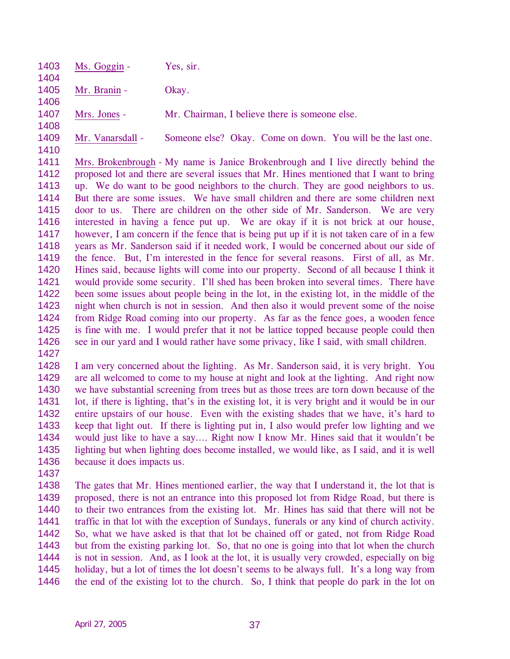|      | $1403$ Ms. Goggin - | Yes, sir. |  |
|------|---------------------|-----------|--|
| 1404 |                     |           |  |

1405 Mr. Branin - Okay.

1406

1407 Mrs. Jones - Mr. Chairman, I believe there is someone else.

1408 1409

Mr. Vanarsdall - Someone else? Okay. Come on down. You will be the last one.

1410

1411 1412 1413 1414 1415 1416 1417 1418 1419 1420 1421 1422 1423 1424 1425 1426 Mrs. Brokenbrough - My name is Janice Brokenbrough and I live directly behind the proposed lot and there are several issues that Mr. Hines mentioned that I want to bring up. We do want to be good neighbors to the church. They are good neighbors to us. But there are some issues. We have small children and there are some children next door to us. There are children on the other side of Mr. Sanderson. We are very interested in having a fence put up. We are okay if it is not brick at our house, however, I am concern if the fence that is being put up if it is not taken care of in a few years as Mr. Sanderson said if it needed work, I would be concerned about our side of the fence. But, I'm interested in the fence for several reasons. First of all, as Mr. Hines said, because lights will come into our property. Second of all because I think it would provide some security. I'll shed has been broken into several times. There have been some issues about people being in the lot, in the existing lot, in the middle of the night when church is not in session. And then also it would prevent some of the noise from Ridge Road coming into our property. As far as the fence goes, a wooden fence is fine with me. I would prefer that it not be lattice topped because people could then see in our yard and I would rather have some privacy, like I said, with small children.

1427

1428 1429 1430 1431 1432 1433 1434 1435 1436 I am very concerned about the lighting. As Mr. Sanderson said, it is very bright. You are all welcomed to come to my house at night and look at the lighting. And right now we have substantial screening from trees but as those trees are torn down because of the lot, if there is lighting, that's in the existing lot, it is very bright and it would be in our entire upstairs of our house. Even with the existing shades that we have, it's hard to keep that light out. If there is lighting put in, I also would prefer low lighting and we would just like to have a say…. Right now I know Mr. Hines said that it wouldn't be lighting but when lighting does become installed, we would like, as I said, and it is well because it does impacts us.

1437

1438 1439 1440 1441 1442 1443 1444 1445 1446 The gates that Mr. Hines mentioned earlier, the way that I understand it, the lot that is proposed, there is not an entrance into this proposed lot from Ridge Road, but there is to their two entrances from the existing lot. Mr. Hines has said that there will not be traffic in that lot with the exception of Sundays, funerals or any kind of church activity. So, what we have asked is that that lot be chained off or gated, not from Ridge Road but from the existing parking lot. So, that no one is going into that lot when the church is not in session. And, as I look at the lot, it is usually very crowded, especially on big holiday, but a lot of times the lot doesn't seems to be always full. It's a long way from the end of the existing lot to the church. So, I think that people do park in the lot on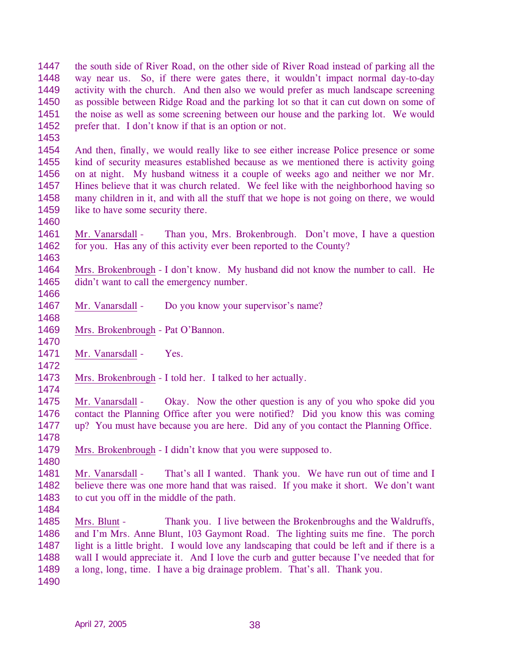1447 1448 1449 1450 1451 1452 the south side of River Road, on the other side of River Road instead of parking all the way near us. So, if there were gates there, it wouldn't impact normal day-to-day activity with the church. And then also we would prefer as much landscape screening as possible between Ridge Road and the parking lot so that it can cut down on some of the noise as well as some screening between our house and the parking lot. We would prefer that. I don't know if that is an option or not.

1453

1454 1455 1456 1457 1458 1459 And then, finally, we would really like to see either increase Police presence or some kind of security measures established because as we mentioned there is activity going on at night. My husband witness it a couple of weeks ago and neither we nor Mr. Hines believe that it was church related. We feel like with the neighborhood having so many children in it, and with all the stuff that we hope is not going on there, we would like to have some security there.

1460

1463

1461 1462 Mr. Vanarsdall - Than you, Mrs. Brokenbrough. Don't move, I have a question for you. Has any of this activity ever been reported to the County?

1464 1465 Mrs. Brokenbrough - I don't know. My husband did not know the number to call. He didn't want to call the emergency number.

1466 1467

1468

1470

1474

Mr. Vanarsdall - Do you know your supervisor's name?

1469 Mrs. Brokenbrough - Pat O'Bannon.

1471 Mr. Vanarsdall - Yes.

1472

1473 Mrs. Brokenbrough - I told her. I talked to her actually.

1475 1476 1477 1478 Mr. Vanarsdall - Okay. Now the other question is any of you who spoke did you contact the Planning Office after you were notified? Did you know this was coming up? You must have because you are here. Did any of you contact the Planning Office.

- 1479 Mrs. Brokenbrough - I didn't know that you were supposed to.
- 1481 1482 1483 Mr. Vanarsdall - That's all I wanted. Thank you. We have run out of time and I believe there was one more hand that was raised. If you make it short. We don't want to cut you off in the middle of the path.
- 1484

1480

1485 1486 1487 1488 1489 Mrs. Blunt - Thank you. I live between the Brokenbroughs and the Waldruffs, and I'm Mrs. Anne Blunt, 103 Gaymont Road. The lighting suits me fine. The porch light is a little bright. I would love any landscaping that could be left and if there is a wall I would appreciate it. And I love the curb and gutter because I've needed that for a long, long, time. I have a big drainage problem. That's all. Thank you.

1490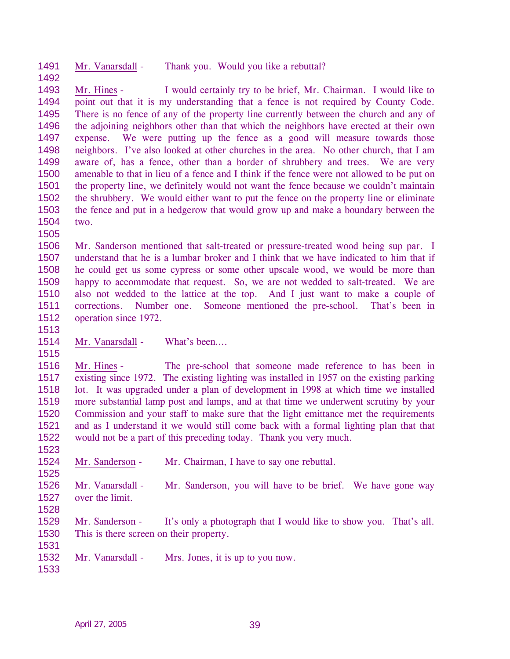1491 Mr. Vanarsdall - Thank you. Would you like a rebuttal?

1493 1494 1495 1496 1497 1498 1499 1500 1501 1502 1503 1504 Mr. Hines - I would certainly try to be brief, Mr. Chairman. I would like to point out that it is my understanding that a fence is not required by County Code. There is no fence of any of the property line currently between the church and any of the adjoining neighbors other than that which the neighbors have erected at their own expense. We were putting up the fence as a good will measure towards those neighbors. I've also looked at other churches in the area. No other church, that I am aware of, has a fence, other than a border of shrubbery and trees. We are very amenable to that in lieu of a fence and I think if the fence were not allowed to be put on the property line, we definitely would not want the fence because we couldn't maintain the shrubbery. We would either want to put the fence on the property line or eliminate the fence and put in a hedgerow that would grow up and make a boundary between the two.

1505

1492

1506 1507 1508 1509 1510 1511 1512 Mr. Sanderson mentioned that salt-treated or pressure-treated wood being sup par. I understand that he is a lumbar broker and I think that we have indicated to him that if he could get us some cypress or some other upscale wood, we would be more than happy to accommodate that request. So, we are not wedded to salt-treated. We are also not wedded to the lattice at the top. And I just want to make a couple of corrections. Number one. Someone mentioned the pre-school. That's been in operation since 1972.

1513

1515

1523

1525

1528

1514 Mr. Vanarsdall - What's been....

1516 1517 1518 1519 1520 1521 1522 Mr. Hines - The pre-school that someone made reference to has been in existing since 1972. The existing lighting was installed in 1957 on the existing parking lot. It was upgraded under a plan of development in 1998 at which time we installed more substantial lamp post and lamps, and at that time we underwent scrutiny by your Commission and your staff to make sure that the light emittance met the requirements and as I understand it we would still come back with a formal lighting plan that that would not be a part of this preceding today. Thank you very much.

1524 Mr. Sanderson - Mr. Chairman, I have to say one rebuttal.

1526 1527 Mr. Vanarsdall - Mr. Sanderson, you will have to be brief. We have gone way over the limit.

1529 1530 Mr. Sanderson - It's only a photograph that I would like to show you. That's all. This is there screen on their property.

- 1531 1532 Mr. Vanarsdall - Mrs. Jones, it is up to you now.
- 1533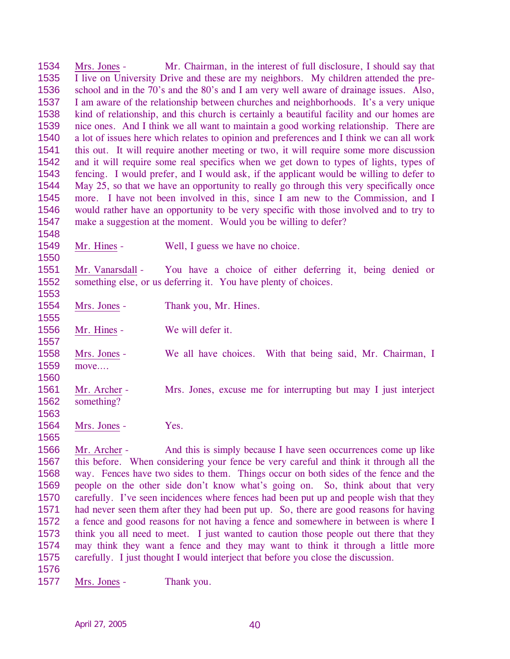1534 1535 1536 1537 1538 1539 1540 1541 1542 1543 1544 1545 1546 1547 1548 Mrs. Jones - Mr. Chairman, in the interest of full disclosure, I should say that I live on University Drive and these are my neighbors. My children attended the preschool and in the 70's and the 80's and I am very well aware of drainage issues. Also, I am aware of the relationship between churches and neighborhoods. It's a very unique kind of relationship, and this church is certainly a beautiful facility and our homes are nice ones. And I think we all want to maintain a good working relationship. There are a lot of issues here which relates to opinion and preferences and I think we can all work this out. It will require another meeting or two, it will require some more discussion and it will require some real specifics when we get down to types of lights, types of fencing. I would prefer, and I would ask, if the applicant would be willing to defer to May 25, so that we have an opportunity to really go through this very specifically once more. I have not been involved in this, since I am new to the Commission, and I would rather have an opportunity to be very specific with those involved and to try to make a suggestion at the moment. Would you be willing to defer?

1549 Mr. Hines - Well, I guess we have no choice.

1551 1552 Mr. Vanarsdall - You have a choice of either deferring it, being denied or something else, or us deferring it. You have plenty of choices.

1553 1554 Mrs. Jones - Thank you, Mr. Hines.

1550

1555

1556 1557 Mr. Hines - We will defer it.

1558 Mrs. Jones - We all have choices. With that being said, Mr. Chairman, I move….

- 1559
- 1560
- 1561 Mr. Archer - Mrs. Jones, excuse me for interrupting but may I just interject
- 1562 something?

1563

1565

1564 Mrs. Jones - Yes.

1566 1567 1568 1569 1570 1571 1572 1573 1574 1575 Mr. Archer - And this is simply because I have seen occurrences come up like this before. When considering your fence be very careful and think it through all the way. Fences have two sides to them. Things occur on both sides of the fence and the people on the other side don't know what's going on. So, think about that very carefully. I've seen incidences where fences had been put up and people wish that they had never seen them after they had been put up. So, there are good reasons for having a fence and good reasons for not having a fence and somewhere in between is where I think you all need to meet. I just wanted to caution those people out there that they may think they want a fence and they may want to think it through a little more carefully. I just thought I would interject that before you close the discussion.

1576

1577 Mrs. Jones - Thank you.

April 27, 2005 40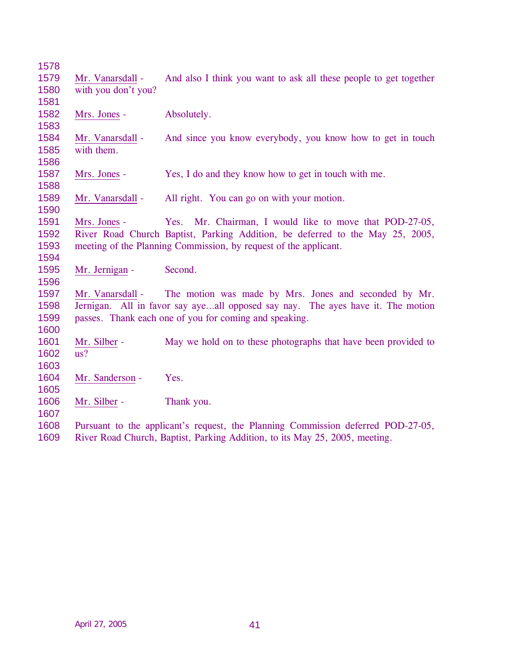| 1578         |                     |                                                                                  |
|--------------|---------------------|----------------------------------------------------------------------------------|
| 1579         | Mr. Vanarsdall -    | And also I think you want to ask all these people to get together                |
| 1580         | with you don't you? |                                                                                  |
| 1581         |                     |                                                                                  |
| 1582         | Mrs. Jones -        | Absolutely.                                                                      |
| 1583         |                     |                                                                                  |
| 1584         | Mr. Vanarsdall -    | And since you know everybody, you know how to get in touch                       |
| 1585         | with them.          |                                                                                  |
| 1586         |                     |                                                                                  |
| 1587         | Mrs. Jones -        | Yes, I do and they know how to get in touch with me.                             |
| 1588         |                     |                                                                                  |
| 1589         | Mr. Vanarsdall -    | All right. You can go on with your motion.                                       |
| 1590         |                     |                                                                                  |
| 1591         | Mrs. Jones -        | Yes. Mr. Chairman, I would like to move that POD-27-05,                          |
| 1592<br>1593 |                     | River Road Church Baptist, Parking Addition, be deferred to the May 25, 2005,    |
| 1594         |                     | meeting of the Planning Commission, by request of the applicant.                 |
| 1595         | Mr. Jernigan -      | Second.                                                                          |
| 1596         |                     |                                                                                  |
| 1597         | Mr. Vanarsdall -    | The motion was made by Mrs. Jones and seconded by Mr.                            |
| 1598         |                     | Jernigan. All in favor say ayeall opposed say nay. The ayes have it. The motion  |
| 1599         |                     | passes. Thank each one of you for coming and speaking.                           |
| 1600         |                     |                                                                                  |
| 1601         | Mr. Silber -        | May we hold on to these photographs that have been provided to                   |
| 1602         | us?                 |                                                                                  |
| 1603         |                     |                                                                                  |
| 1604         | Mr. Sanderson -     | Yes.                                                                             |
| 1605         |                     |                                                                                  |
| 1606         | Mr. Silber -        | Thank you.                                                                       |
| 1607         |                     |                                                                                  |
| 1608         |                     | Pursuant to the applicant's request, the Planning Commission deferred POD-27-05, |
| 1609         |                     | River Road Church, Baptist, Parking Addition, to its May 25, 2005, meeting.      |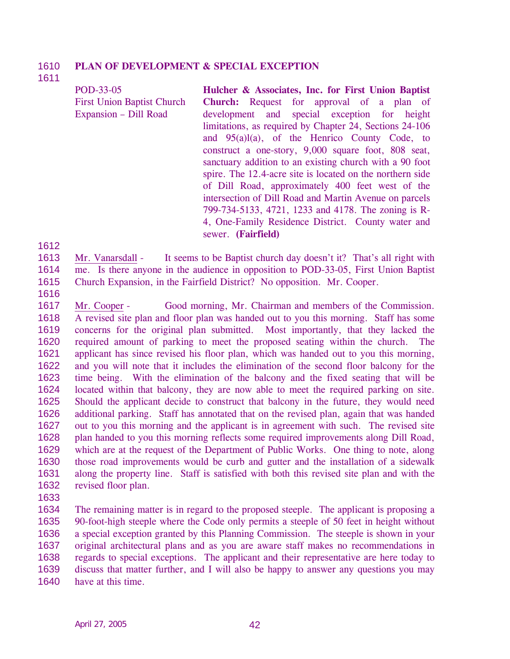### 1610 **PLAN OF DEVELOPMENT & SPECIAL EXCEPTION**

1611

POD-33-05 First Union Baptist Church Expansion – Dill Road **Hulcher & Associates, Inc. for First Union Baptist Church:** Request for approval of a plan of development and special exception for height limitations, as required by Chapter 24, Sections 24-106 and 95(a)l(a), of the Henrico County Code, to construct a one-story, 9,000 square foot, 808 seat, sanctuary addition to an existing church with a 90 foot spire. The 12.4-acre site is located on the northern side of Dill Road, approximately 400 feet west of the intersection of Dill Road and Martin Avenue on parcels 799-734-5133, 4721, 1233 and 4178. The zoning is R-4, One-Family Residence District. County water and sewer. **(Fairfield)** 

1612

- 1613 1614 1615 Mr. Vanarsdall - It seems to be Baptist church day doesn't it? That's all right with me. Is there anyone in the audience in opposition to POD-33-05, First Union Baptist Church Expansion, in the Fairfield District? No opposition. Mr. Cooper.
- 1616

1617 1618 1619 1620 1621 1622 1623 1624 1625 1626 1627 1628 1629 1630 1631 1632 Mr. Cooper - Good morning, Mr. Chairman and members of the Commission. A revised site plan and floor plan was handed out to you this morning. Staff has some concerns for the original plan submitted. Most importantly, that they lacked the required amount of parking to meet the proposed seating within the church. The applicant has since revised his floor plan, which was handed out to you this morning, and you will note that it includes the elimination of the second floor balcony for the time being. With the elimination of the balcony and the fixed seating that will be located within that balcony, they are now able to meet the required parking on site. Should the applicant decide to construct that balcony in the future, they would need additional parking. Staff has annotated that on the revised plan, again that was handed out to you this morning and the applicant is in agreement with such. The revised site plan handed to you this morning reflects some required improvements along Dill Road, which are at the request of the Department of Public Works. One thing to note, along those road improvements would be curb and gutter and the installation of a sidewalk along the property line. Staff is satisfied with both this revised site plan and with the revised floor plan.

1633

1634 1635 1636 1637 1638 1639 1640 The remaining matter is in regard to the proposed steeple. The applicant is proposing a 90-foot-high steeple where the Code only permits a steeple of 50 feet in height without a special exception granted by this Planning Commission. The steeple is shown in your original architectural plans and as you are aware staff makes no recommendations in regards to special exceptions. The applicant and their representative are here today to discuss that matter further, and I will also be happy to answer any questions you may have at this time.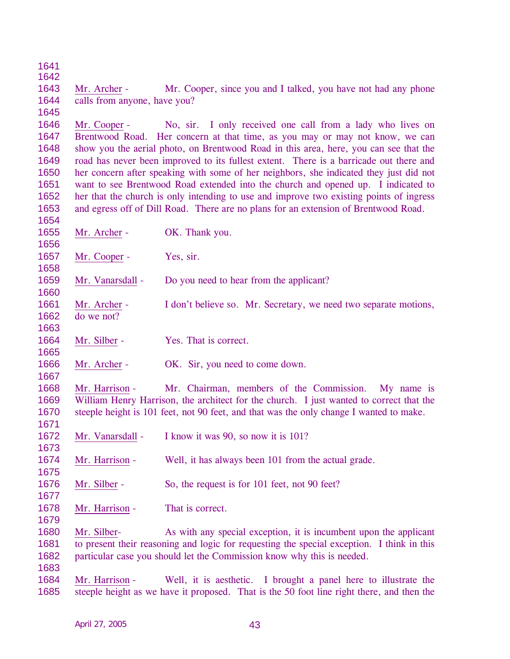1641 1642

1643 1644 Mr. Archer - Mr. Cooper, since you and I talked, you have not had any phone calls from anyone, have you?

1645

1646 1647 1648 1649 1650 1651 1652 1653 Mr. Cooper - No, sir. I only received one call from a lady who lives on Brentwood Road. Her concern at that time, as you may or may not know, we can show you the aerial photo, on Brentwood Road in this area, here, you can see that the road has never been improved to its fullest extent. There is a barricade out there and her concern after speaking with some of her neighbors, she indicated they just did not want to see Brentwood Road extended into the church and opened up. I indicated to her that the church is only intending to use and improve two existing points of ingress and egress off of Dill Road. There are no plans for an extension of Brentwood Road.

1655

1654

1656

1660

1665

1667

1673

1675

1677

Mr. Archer - OK. Thank you.

1657 1658 Mr. Cooper - Yes, sir.

1659 Mr. Vanarsdall - Do you need to hear from the applicant?

1661 1662 Mr. Archer - I don't believe so. Mr. Secretary, we need two separate motions, do we not?

1663 1664 Mr. Silber - Yes. That is correct.

1666 Mr. Archer - OK. Sir, you need to come down.

1668 1669 1670 1671 Mr. Harrison - Mr. Chairman, members of the Commission. My name is William Henry Harrison, the architect for the church. I just wanted to correct that the steeple height is 101 feet, not 90 feet, and that was the only change I wanted to make.

1672 Mr. Vanarsdall - I know it was 90, so now it is 101?

1674 Mr. Harrison - Well, it has always been 101 from the actual grade.

1676 Mr. Silber - So, the request is for 101 feet, not 90 feet?

1678 Mr. Harrison - That is correct.

1679

1680 1681 1682 Mr. Silber- As with any special exception, it is incumbent upon the applicant to present their reasoning and logic for requesting the special exception. I think in this particular case you should let the Commission know why this is needed.

1683

1684 1685 Mr. Harrison - Well, it is aesthetic. I brought a panel here to illustrate the steeple height as we have it proposed. That is the 50 foot line right there, and then the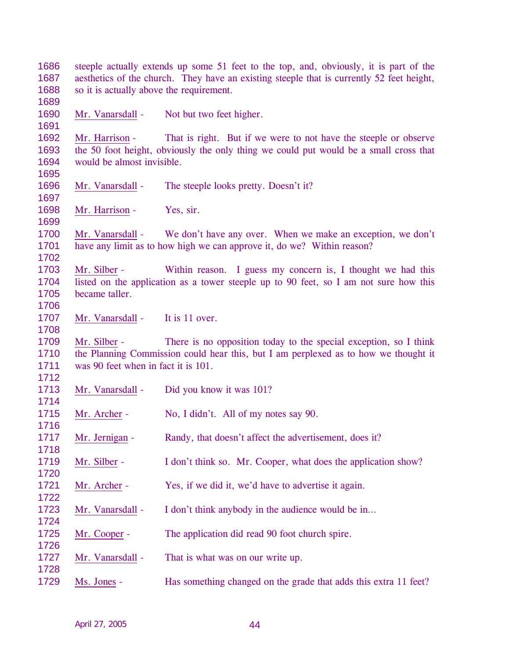| 1686<br>1687 | steeple actually extends up some 51 feet to the top, and, obviously, it is part of the<br>aesthetics of the church. They have an existing steeple that is currently 52 feet height, |                                                                                                                                                           |  |  |
|--------------|-------------------------------------------------------------------------------------------------------------------------------------------------------------------------------------|-----------------------------------------------------------------------------------------------------------------------------------------------------------|--|--|
| 1688         | so it is actually above the requirement.                                                                                                                                            |                                                                                                                                                           |  |  |
| 1689         |                                                                                                                                                                                     |                                                                                                                                                           |  |  |
| 1690         | Mr. Vanarsdall -                                                                                                                                                                    | Not but two feet higher.                                                                                                                                  |  |  |
| 1691         |                                                                                                                                                                                     |                                                                                                                                                           |  |  |
| 1692<br>1693 | Mr. Harrison -                                                                                                                                                                      | That is right. But if we were to not have the steeple or observe<br>the 50 foot height, obviously the only thing we could put would be a small cross that |  |  |
| 1694<br>1695 | would be almost invisible.                                                                                                                                                          |                                                                                                                                                           |  |  |
| 1696<br>1697 | Mr. Vanarsdall -                                                                                                                                                                    | The steeple looks pretty. Doesn't it?                                                                                                                     |  |  |
| 1698         | Mr. Harrison -                                                                                                                                                                      | Yes, sir.                                                                                                                                                 |  |  |
| 1699<br>1700 |                                                                                                                                                                                     | Mr. Vanarsdall - We don't have any over. When we make an exception, we don't                                                                              |  |  |
| 1701<br>1702 |                                                                                                                                                                                     | have any limit as to how high we can approve it, do we? Within reason?                                                                                    |  |  |
| 1703         | Mr. Silber -                                                                                                                                                                        | Within reason. I guess my concern is, I thought we had this                                                                                               |  |  |
| 1704         | listed on the application as a tower steeple up to 90 feet, so I am not sure how this                                                                                               |                                                                                                                                                           |  |  |
| 1705         | became taller.                                                                                                                                                                      |                                                                                                                                                           |  |  |
| 1706         |                                                                                                                                                                                     |                                                                                                                                                           |  |  |
| 1707         | Mr. Vanarsdall -                                                                                                                                                                    | It is 11 over.                                                                                                                                            |  |  |
| 1708<br>1709 | Mr. Silber -                                                                                                                                                                        |                                                                                                                                                           |  |  |
| 1710         |                                                                                                                                                                                     | There is no opposition today to the special exception, so I think<br>the Planning Commission could hear this, but I am perplexed as to how we thought it  |  |  |
| 1711         | was 90 feet when in fact it is 101.                                                                                                                                                 |                                                                                                                                                           |  |  |
| 1712         |                                                                                                                                                                                     |                                                                                                                                                           |  |  |
| 1713         | Mr. Vanarsdall -                                                                                                                                                                    | Did you know it was 101?                                                                                                                                  |  |  |
| 1714         |                                                                                                                                                                                     |                                                                                                                                                           |  |  |
| 1715         | Mr. Archer -                                                                                                                                                                        | No, I didn't. All of my notes say 90.                                                                                                                     |  |  |
| 1716<br>1717 | Mr. Jernigan -                                                                                                                                                                      | Randy, that doesn't affect the advertisement, does it?                                                                                                    |  |  |
| 1718         |                                                                                                                                                                                     |                                                                                                                                                           |  |  |
| 1719<br>1720 | Mr. Silber -                                                                                                                                                                        | I don't think so. Mr. Cooper, what does the application show?                                                                                             |  |  |
| 1721         | Mr. Archer -                                                                                                                                                                        | Yes, if we did it, we'd have to advertise it again.                                                                                                       |  |  |
| 1722         |                                                                                                                                                                                     |                                                                                                                                                           |  |  |
| 1723<br>1724 | Mr. Vanarsdall -                                                                                                                                                                    | I don't think anybody in the audience would be in                                                                                                         |  |  |
| 1725         | Mr. Cooper -                                                                                                                                                                        | The application did read 90 foot church spire.                                                                                                            |  |  |
| 1726         |                                                                                                                                                                                     |                                                                                                                                                           |  |  |
| 1727         | Mr. Vanarsdall -                                                                                                                                                                    | That is what was on our write up.                                                                                                                         |  |  |
| 1728<br>1729 | Ms. Jones -                                                                                                                                                                         | Has something changed on the grade that adds this extra 11 feet?                                                                                          |  |  |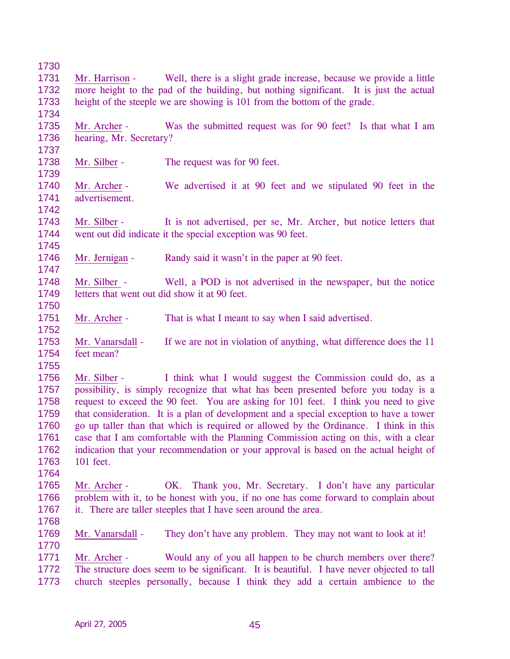| 1730 |                                                                           |                                                                                           |  |  |
|------|---------------------------------------------------------------------------|-------------------------------------------------------------------------------------------|--|--|
| 1731 | Mr. Harrison -                                                            | Well, there is a slight grade increase, because we provide a little                       |  |  |
| 1732 |                                                                           | more height to the pad of the building, but nothing significant. It is just the actual    |  |  |
| 1733 | height of the steeple we are showing is 101 from the bottom of the grade. |                                                                                           |  |  |
| 1734 |                                                                           |                                                                                           |  |  |
| 1735 | Mr. Archer -                                                              | Was the submitted request was for 90 feet? Is that what I am                              |  |  |
| 1736 | hearing, Mr. Secretary?                                                   |                                                                                           |  |  |
| 1737 |                                                                           |                                                                                           |  |  |
| 1738 | Mr. Silber -                                                              | The request was for 90 feet.                                                              |  |  |
| 1739 |                                                                           |                                                                                           |  |  |
| 1740 | Mr. Archer -                                                              | We advertised it at 90 feet and we stipulated 90 feet in the                              |  |  |
| 1741 | advertisement.                                                            |                                                                                           |  |  |
| 1742 |                                                                           |                                                                                           |  |  |
| 1743 | Mr. Silber -                                                              | It is not advertised, per se, Mr. Archer, but notice letters that                         |  |  |
| 1744 |                                                                           | went out did indicate it the special exception was 90 feet.                               |  |  |
| 1745 |                                                                           |                                                                                           |  |  |
| 1746 |                                                                           | Randy said it wasn't in the paper at 90 feet.                                             |  |  |
|      | Mr. Jernigan -                                                            |                                                                                           |  |  |
| 1747 |                                                                           |                                                                                           |  |  |
| 1748 | Mr. Silber -                                                              | Well, a POD is not advertised in the newspaper, but the notice                            |  |  |
| 1749 |                                                                           | letters that went out did show it at 90 feet.                                             |  |  |
| 1750 |                                                                           |                                                                                           |  |  |
| 1751 | Mr. Archer -                                                              | That is what I meant to say when I said advertised.                                       |  |  |
| 1752 |                                                                           |                                                                                           |  |  |
| 1753 | Mr. Vanarsdall -                                                          | If we are not in violation of anything, what difference does the 11                       |  |  |
| 1754 | feet mean?                                                                |                                                                                           |  |  |
| 1755 |                                                                           |                                                                                           |  |  |
| 1756 | Mr. Silber -                                                              | I think what I would suggest the Commission could do, as a                                |  |  |
| 1757 |                                                                           | possibility, is simply recognize that what has been presented before you today is a       |  |  |
| 1758 |                                                                           | request to exceed the 90 feet. You are asking for 101 feet. I think you need to give      |  |  |
| 1759 |                                                                           | that consideration. It is a plan of development and a special exception to have a tower   |  |  |
| 1760 |                                                                           | go up taller than that which is required or allowed by the Ordinance. I think in this     |  |  |
| 1761 |                                                                           | case that I am comfortable with the Planning Commission acting on this, with a clear      |  |  |
| 1762 |                                                                           | indication that your recommendation or your approval is based on the actual height of     |  |  |
| 1763 | 101 feet.                                                                 |                                                                                           |  |  |
| 1764 |                                                                           |                                                                                           |  |  |
| 1765 | Mr. Archer -                                                              | Thank you, Mr. Secretary. I don't have any particular<br>OK.                              |  |  |
| 1766 |                                                                           | problem with it, to be honest with you, if no one has come forward to complain about      |  |  |
| 1767 |                                                                           | it. There are taller steeples that I have seen around the area.                           |  |  |
| 1768 |                                                                           |                                                                                           |  |  |
| 1769 | Mr. Vanarsdall -                                                          | They don't have any problem. They may not want to look at it!                             |  |  |
| 1770 |                                                                           |                                                                                           |  |  |
| 1771 | Mr. Archer -                                                              | Would any of you all happen to be church members over there?                              |  |  |
| 1772 |                                                                           | The structure does seem to be significant. It is beautiful. I have never objected to tall |  |  |
| 1773 |                                                                           | church steeples personally, because I think they add a certain ambience to the            |  |  |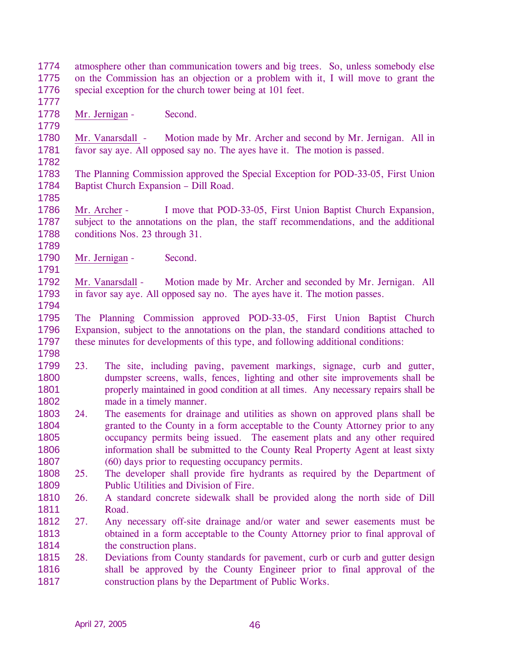1774 1775 1776 1777 atmosphere other than communication towers and big trees. So, unless somebody else on the Commission has an objection or a problem with it, I will move to grant the special exception for the church tower being at 101 feet. 1778 1779 Mr. Jernigan - Second. 1780 1781 1782 1783 1784 1785 Mr. Vanarsdall - Motion made by Mr. Archer and second by Mr. Jernigan. All in favor say aye. All opposed say no. The ayes have it. The motion is passed. The Planning Commission approved the Special Exception for POD-33-05, First Union Baptist Church Expansion – Dill Road. 1786 1787 1788 1789 Mr. Archer - I move that POD-33-05, First Union Baptist Church Expansion, subject to the annotations on the plan, the staff recommendations, and the additional conditions Nos. 23 through 31. 1790 1791 Mr. Jernigan - Second. 1792 1793 1794 1795 1796 1797 1798 1799 1800 1801 1802 1803 1804 1805 1806 1807 1808 1809 1810 1811 1812 1813 1814 1815 1816 1817 Mr. Vanarsdall - Motion made by Mr. Archer and seconded by Mr. Jernigan. All in favor say aye. All opposed say no. The ayes have it. The motion passes. The Planning Commission approved POD-33-05, First Union Baptist Church Expansion, subject to the annotations on the plan, the standard conditions attached to these minutes for developments of this type, and following additional conditions: 23. The site, including paving, pavement markings, signage, curb and gutter, dumpster screens, walls, fences, lighting and other site improvements shall be properly maintained in good condition at all times. Any necessary repairs shall be made in a timely manner. 24. The easements for drainage and utilities as shown on approved plans shall be granted to the County in a form acceptable to the County Attorney prior to any occupancy permits being issued. The easement plats and any other required information shall be submitted to the County Real Property Agent at least sixty (60) days prior to requesting occupancy permits. 25. The developer shall provide fire hydrants as required by the Department of Public Utilities and Division of Fire. 26. A standard concrete sidewalk shall be provided along the north side of Dill Road. 27. Any necessary off-site drainage and/or water and sewer easements must be obtained in a form acceptable to the County Attorney prior to final approval of the construction plans. 28. Deviations from County standards for pavement, curb or curb and gutter design shall be approved by the County Engineer prior to final approval of the construction plans by the Department of Public Works.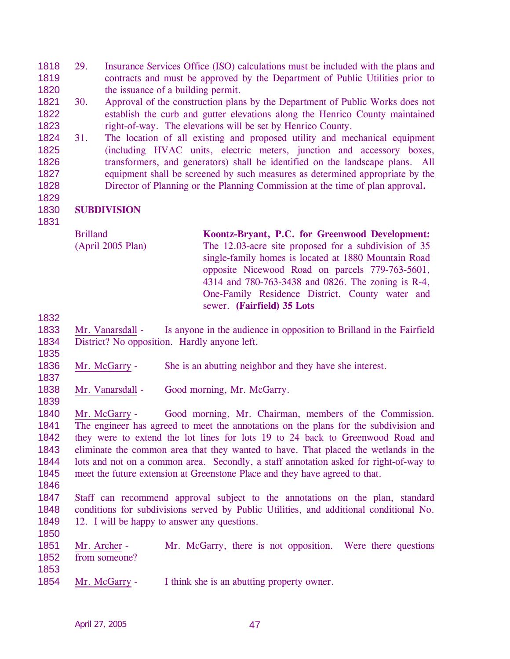- 1818 1819 1820 29. Insurance Services Office (ISO) calculations must be included with the plans and contracts and must be approved by the Department of Public Utilities prior to the issuance of a building permit.
- 1821 1822 1823 30. Approval of the construction plans by the Department of Public Works does not establish the curb and gutter elevations along the Henrico County maintained right-of-way. The elevations will be set by Henrico County.
- 1824 1825 1826 1827 1828 31. The location of all existing and proposed utility and mechanical equipment (including HVAC units, electric meters, junction and accessory boxes, transformers, and generators) shall be identified on the landscape plans. All equipment shall be screened by such measures as determined appropriate by the Director of Planning or the Planning Commission at the time of plan approval**.**

# 1829

1830 1831 **SUBDIVISION** 

| <b>Brilland</b>   | Koontz-Bryant, P.C. for Greenwood Development:                                                                                                                  |
|-------------------|-----------------------------------------------------------------------------------------------------------------------------------------------------------------|
| (April 2005 Plan) | The 12.03-acre site proposed for a subdivision of 35<br>single-family homes is located at 1880 Mountain Road<br>opposite Nicewood Road on parcels 779-763-5601, |
|                   | 4314 and 780-763-3438 and 0826. The zoning is R-4,<br>One-Family Residence District. County water and<br>sewer. (Fairfield) 35 Lots                             |

1832

1835

1837

1839

- 1833 1834 Mr. Vanarsdall - Is anyone in the audience in opposition to Brilland in the Fairfield District? No opposition. Hardly anyone left.
- 1836 Mr. McGarry - She is an abutting neighbor and they have she interest.
- 1838 Mr. Vanarsdall - Good morning, Mr. McGarry.
- 1840 1841 1842 1843 1844 1845 Mr. McGarry - Good morning, Mr. Chairman, members of the Commission. The engineer has agreed to meet the annotations on the plans for the subdivision and they were to extend the lot lines for lots 19 to 24 back to Greenwood Road and eliminate the common area that they wanted to have. That placed the wetlands in the lots and not on a common area. Secondly, a staff annotation asked for right-of-way to meet the future extension at Greenstone Place and they have agreed to that.
- 1846

1847 1848 1849 1850 Staff can recommend approval subject to the annotations on the plan, standard conditions for subdivisions served by Public Utilities, and additional conditional No. 12. I will be happy to answer any questions.

- 1851 1852 1853 Mr. Archer - Mr. McGarry, there is not opposition. Were there questions from someone?
- 1854 Mr. McGarry I think she is an abutting property owner.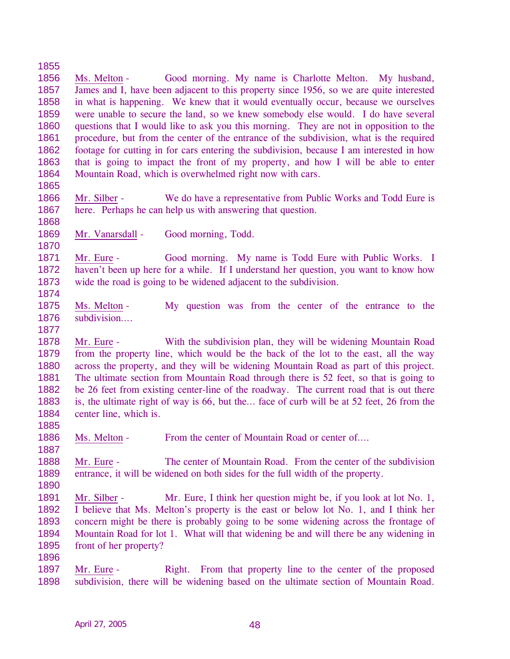1856 1857 1858 1859 1860 1861 1862 1863 1864 1865 Ms. Melton - Good morning. My name is Charlotte Melton. My husband, James and I, have been adjacent to this property since 1956, so we are quite interested in what is happening. We knew that it would eventually occur, because we ourselves were unable to secure the land, so we knew somebody else would. I do have several questions that I would like to ask you this morning. They are not in opposition to the procedure, but from the center of the entrance of the subdivision, what is the required footage for cutting in for cars entering the subdivision, because I am interested in how that is going to impact the front of my property, and how I will be able to enter Mountain Road, which is overwhelmed right now with cars. 1866 1867 1868 Mr. Silber - We do have a representative from Public Works and Todd Eure is here. Perhaps he can help us with answering that question. 1869 1870 Mr. Vanarsdall - Good morning, Todd. 1871 1872 1873 1874 Mr. Eure - Good morning. My name is Todd Eure with Public Works. I haven't been up here for a while. If I understand her question, you want to know how wide the road is going to be widened adjacent to the subdivision. 1875 1876 1877 Ms. Melton - My question was from the center of the entrance to the subdivision…. 1878 1879 1880 1881 1882 1883 1884 1885 Mr. Eure - With the subdivision plan, they will be widening Mountain Road from the property line, which would be the back of the lot to the east, all the way across the property, and they will be widening Mountain Road as part of this project. The ultimate section from Mountain Road through there is 52 feet, so that is going to be 26 feet from existing center-line of the roadway. The current road that is out there is, the ultimate right of way is 66, but the… face of curb will be at 52 feet, 26 from the center line, which is. 1886 1887 Ms. Melton - From the center of Mountain Road or center of.... 1888 1889 1890 Mr. Eure - The center of Mountain Road. From the center of the subdivision entrance, it will be widened on both sides for the full width of the property. 1891 1892 1893 1894 1895 1896 Mr. Silber - Mr. Eure, I think her question might be, if you look at lot No. 1, I believe that Ms. Melton's property is the east or below lot No. 1, and I think her concern might be there is probably going to be some widening across the frontage of Mountain Road for lot 1. What will that widening be and will there be any widening in front of her property? 1897 1898 Mr. Eure - Right. From that property line to the center of the proposed subdivision, there will be widening based on the ultimate section of Mountain Road.

1855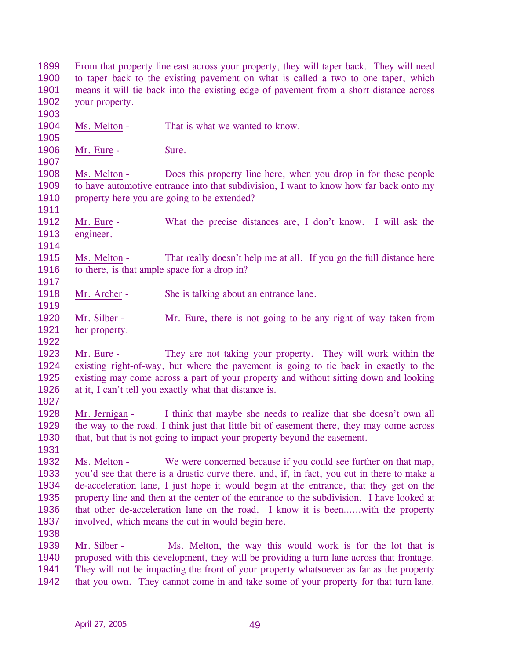| 1899 | From that property line east across your property, they will taper back. They will need   |                                                                                             |  |  |
|------|-------------------------------------------------------------------------------------------|---------------------------------------------------------------------------------------------|--|--|
| 1900 | to taper back to the existing pavement on what is called a two to one taper, which        |                                                                                             |  |  |
| 1901 | means it will tie back into the existing edge of pavement from a short distance across    |                                                                                             |  |  |
| 1902 | your property.                                                                            |                                                                                             |  |  |
| 1903 |                                                                                           |                                                                                             |  |  |
| 1904 | Ms. Melton -                                                                              | That is what we wanted to know.                                                             |  |  |
| 1905 |                                                                                           |                                                                                             |  |  |
| 1906 | Mr. Eure -                                                                                | Sure.                                                                                       |  |  |
| 1907 |                                                                                           |                                                                                             |  |  |
| 1908 | Ms. Melton -                                                                              | Does this property line here, when you drop in for these people                             |  |  |
| 1909 | to have automotive entrance into that subdivision, I want to know how far back onto my    |                                                                                             |  |  |
| 1910 |                                                                                           | property here you are going to be extended?                                                 |  |  |
| 1911 |                                                                                           |                                                                                             |  |  |
| 1912 | Mr. Eure -                                                                                | What the precise distances are, I don't know. I will ask the                                |  |  |
| 1913 | engineer.                                                                                 |                                                                                             |  |  |
| 1914 |                                                                                           |                                                                                             |  |  |
| 1915 | Ms. Melton -                                                                              | That really doesn't help me at all. If you go the full distance here                        |  |  |
| 1916 |                                                                                           | to there, is that ample space for a drop in?                                                |  |  |
| 1917 |                                                                                           |                                                                                             |  |  |
| 1918 | Mr. Archer -                                                                              | She is talking about an entrance lane.                                                      |  |  |
| 1919 |                                                                                           |                                                                                             |  |  |
| 1920 | Mr. Silber -                                                                              | Mr. Eure, there is not going to be any right of way taken from                              |  |  |
| 1921 | her property.                                                                             |                                                                                             |  |  |
| 1922 |                                                                                           |                                                                                             |  |  |
| 1923 | Mr. Eure -                                                                                | They are not taking your property. They will work within the                                |  |  |
| 1924 | existing right-of-way, but where the pavement is going to tie back in exactly to the      |                                                                                             |  |  |
| 1925 | existing may come across a part of your property and without sitting down and looking     |                                                                                             |  |  |
| 1926 | at it, I can't tell you exactly what that distance is.                                    |                                                                                             |  |  |
| 1927 |                                                                                           |                                                                                             |  |  |
| 1928 | Mr. Jernigan -                                                                            | I think that maybe she needs to realize that she doesn't own all                            |  |  |
| 1929 | the way to the road. I think just that little bit of easement there, they may come across |                                                                                             |  |  |
| 1930 | that, but that is not going to impact your property beyond the easement.                  |                                                                                             |  |  |
| 1931 |                                                                                           |                                                                                             |  |  |
| 1932 | Ms. Melton -                                                                              | We were concerned because if you could see further on that map,                             |  |  |
| 1933 |                                                                                           | you'd see that there is a drastic curve there, and, if, in fact, you cut in there to make a |  |  |
| 1934 | de-acceleration lane, I just hope it would begin at the entrance, that they get on the    |                                                                                             |  |  |
| 1935 | property line and then at the center of the entrance to the subdivision. I have looked at |                                                                                             |  |  |
| 1936 | that other de-acceleration lane on the road. I know it is beenwith the property           |                                                                                             |  |  |
| 1937 |                                                                                           | involved, which means the cut in would begin here.                                          |  |  |
| 1938 |                                                                                           |                                                                                             |  |  |
| 1939 | Mr. Silber -                                                                              | Ms. Melton, the way this would work is for the lot that is                                  |  |  |
| 1940 | proposed with this development, they will be providing a turn lane across that frontage.  |                                                                                             |  |  |
| 1941 | They will not be impacting the front of your property whatsoever as far as the property   |                                                                                             |  |  |
| 1942 | that you own. They cannot come in and take some of your property for that turn lane.      |                                                                                             |  |  |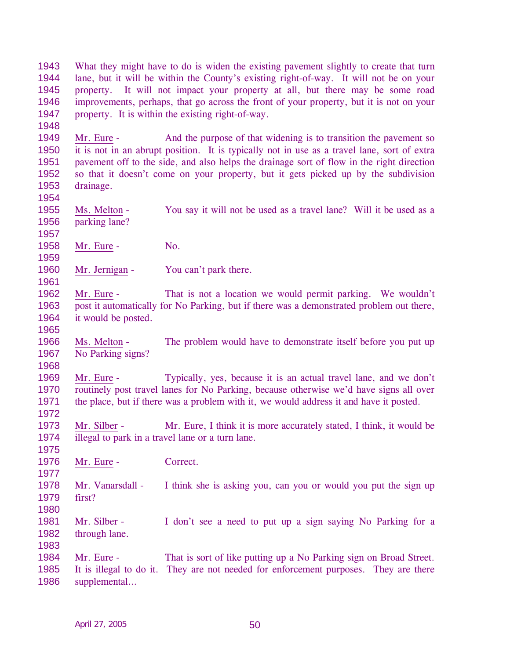1943 1944 1945 1946 1947 What they might have to do is widen the existing pavement slightly to create that turn lane, but it will be within the County's existing right-of-way. It will not be on your property. It will not impact your property at all, but there may be some road improvements, perhaps, that go across the front of your property, but it is not on your property. It is within the existing right-of-way.

1949 1950 1951 1952 1953 Mr. Eure - And the purpose of that widening is to transition the pavement so it is not in an abrupt position. It is typically not in use as a travel lane, sort of extra pavement off to the side, and also helps the drainage sort of flow in the right direction so that it doesn't come on your property, but it gets picked up by the subdivision drainage.

1955 1956 Ms. Melton - You say it will not be used as a travel lane? Will it be used as a parking lane?

1958 Mr. Eure - No.

1960 Mr. Jernigan - You can't park there.

1962 1963 1964 Mr. Eure - That is not a location we would permit parking. We wouldn't post it automatically for No Parking, but if there was a demonstrated problem out there, it would be posted.

1965

1968

1972

1975

1977

1980

1983

1948

1954

1957

1959

1961

1966 1967 Ms. Melton - The problem would have to demonstrate itself before you put up No Parking signs?

1969 1970 1971 Mr. Eure - Typically, yes, because it is an actual travel lane, and we don't routinely post travel lanes for No Parking, because otherwise we'd have signs all over the place, but if there was a problem with it, we would address it and have it posted.

1973 1974 Mr. Silber - Mr. Eure, I think it is more accurately stated, I think, it would be illegal to park in a travel lane or a turn lane.

1976 Mr. Eure - Correct.

1978 1979 Mr. Vanarsdall - I think she is asking you, can you or would you put the sign up first?

1981 1982 Mr. Silber - I don't see a need to put up a sign saying No Parking for a through lane.

1984 1985 1986 Mr. Eure - That is sort of like putting up a No Parking sign on Broad Street. It is illegal to do it. They are not needed for enforcement purposes. They are there supplemental…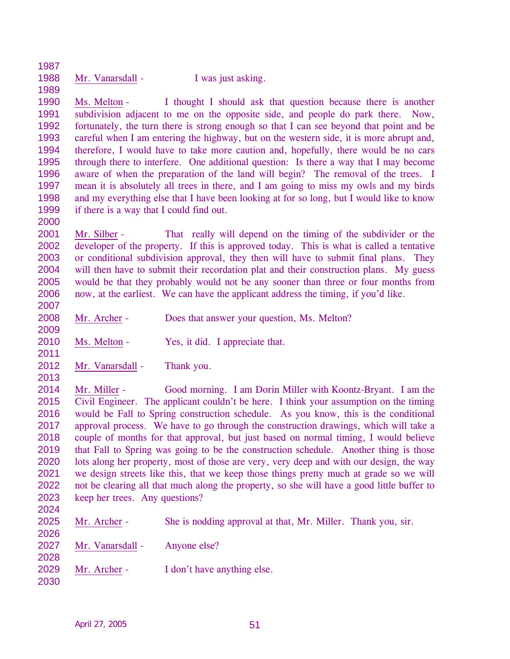1988 Mr. Vanarsdall -

1987

1989

2000

2007

2009

2011

2026

2028

2030

| I was just asking. |  |  |
|--------------------|--|--|
|                    |  |  |

1990 1991 1992 1993 1994 1995 1996 1997 1998 1999 Ms. Melton - I thought I should ask that question because there is another subdivision adjacent to me on the opposite side, and people do park there. Now, fortunately, the turn there is strong enough so that I can see beyond that point and be careful when I am entering the highway, but on the western side, it is more abrupt and, therefore, I would have to take more caution and, hopefully, there would be no cars through there to interfere. One additional question: Is there a way that I may become aware of when the preparation of the land will begin? The removal of the trees. I mean it is absolutely all trees in there, and I am going to miss my owls and my birds and my everything else that I have been looking at for so long, but I would like to know if there is a way that I could find out.

2001 2002 2003 2004 2005 2006 Mr. Silber - That really will depend on the timing of the subdivider or the developer of the property. If this is approved today. This is what is called a tentative or conditional subdivision approval, they then will have to submit final plans. They will then have to submit their recordation plat and their construction plans. My guess would be that they probably would not be any sooner than three or four months from now, at the earliest. We can have the applicant address the timing, if you'd like.

- 2008 Mr. Archer - Does that answer your question, Ms. Melton?
- 2010 Ms. Melton - Yes, it did. I appreciate that.
- 2012 Mr. Vanarsdall - Thank you.
- 2013 2014 2015 2016 2017 2018 2019 2020 2021 2022 2023 2024 Mr. Miller - Good morning. I am Dorin Miller with Koontz-Bryant. I am the Civil Engineer. The applicant couldn't be here. I think your assumption on the timing would be Fall to Spring construction schedule. As you know, this is the conditional approval process. We have to go through the construction drawings, which will take a couple of months for that approval, but just based on normal timing, I would believe that Fall to Spring was going to be the construction schedule. Another thing is those lots along her property, most of those are very, very deep and with our design, the way we design streets like this, that we keep those things pretty much at grade so we will not be clearing all that much along the property, so she will have a good little buffer to keep her trees. Any questions?
- 2025 Mr. Archer - She is nodding approval at that, Mr. Miller. Thank you, sir.
- 2027 Mr. Vanarsdall - Anyone else?
- 2029 Mr. Archer - I don't have anything else.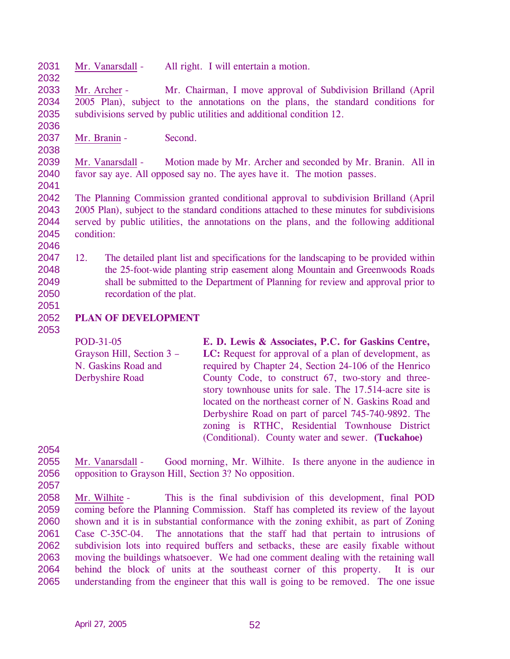2031 Mr. Vanarsdall - All right. I will entertain a motion.

2033 2034 2035 Mr. Archer - Mr. Chairman, I move approval of Subdivision Brilland (April 2005 Plan), subject to the annotations on the plans, the standard conditions for subdivisions served by public utilities and additional condition 12.

2037 Mr. Branin - Second.

2039 2040 2041 Mr. Vanarsdall - Motion made by Mr. Archer and seconded by Mr. Branin. All in favor say aye. All opposed say no. The ayes have it. The motion passes.

2042 2043 2044 2045 The Planning Commission granted conditional approval to subdivision Brilland (April 2005 Plan), subject to the standard conditions attached to these minutes for subdivisions served by public utilities, the annotations on the plans, and the following additional condition:

- 2047 2048 2049 2050 12. The detailed plant list and specifications for the landscaping to be provided within the 25-foot-wide planting strip easement along Mountain and Greenwoods Roads shall be submitted to the Department of Planning for review and approval prior to recordation of the plat.
- 2051

2046

2032

2036

2038

### 2052 **PLAN OF DEVELOPMENT**

2053

| POD-31-05                 | E. D. Lewis & Associates, P.C. for Gaskins Centre,      |
|---------------------------|---------------------------------------------------------|
| Grayson Hill, Section 3 – | LC: Request for approval of a plan of development, as   |
| N. Gaskins Road and       | required by Chapter 24, Section 24-106 of the Henrico   |
| Derbyshire Road           | County Code, to construct 67, two-story and three-      |
|                           | story townhouse units for sale. The 17.514-acre site is |
|                           | located on the northeast corner of N. Gaskins Road and  |
|                           | Derbyshire Road on part of parcel 745-740-9892. The     |
|                           | zoning is RTHC, Residential Townhouse District          |
|                           | (Conditional). County water and sewer. (Tuckahoe)       |

2054

2055 2056 Mr. Vanarsdall - Good morning, Mr. Wilhite. Is there anyone in the audience in opposition to Grayson Hill, Section 3? No opposition.

2057

2058 2059 2060 2061 2062 2063 2064 2065 Mr. Wilhite - This is the final subdivision of this development, final POD coming before the Planning Commission. Staff has completed its review of the layout shown and it is in substantial conformance with the zoning exhibit, as part of Zoning Case C-35C-04. The annotations that the staff had that pertain to intrusions of subdivision lots into required buffers and setbacks, these are easily fixable without moving the buildings whatsoever. We had one comment dealing with the retaining wall behind the block of units at the southeast corner of this property. It is our understanding from the engineer that this wall is going to be removed. The one issue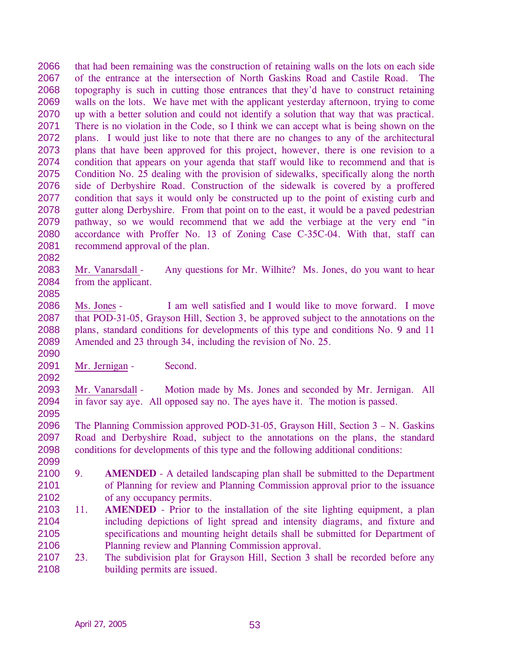2066 2067 2068 2069 2070 2071 2072 2073 2074 2075 2076 2077 2078 2079 2080 2081 that had been remaining was the construction of retaining walls on the lots on each side of the entrance at the intersection of North Gaskins Road and Castile Road. The topography is such in cutting those entrances that they'd have to construct retaining walls on the lots. We have met with the applicant yesterday afternoon, trying to come up with a better solution and could not identify a solution that way that was practical. There is no violation in the Code, so I think we can accept what is being shown on the plans. I would just like to note that there are no changes to any of the architectural plans that have been approved for this project, however, there is one revision to a condition that appears on your agenda that staff would like to recommend and that is Condition No. 25 dealing with the provision of sidewalks, specifically along the north side of Derbyshire Road. Construction of the sidewalk is covered by a proffered condition that says it would only be constructed up to the point of existing curb and gutter along Derbyshire. From that point on to the east, it would be a paved pedestrian pathway, so we would recommend that we add the verbiage at the very end "in accordance with Proffer No. 13 of Zoning Case C-35C-04. With that, staff can recommend approval of the plan.

2083 2084 2085 Mr. Vanarsdall - Any questions for Mr. Wilhite? Ms. Jones, do you want to hear from the applicant.

2086 2087 2088 2089 Ms. Jones - I am well satisfied and I would like to move forward. I move that POD-31-05, Grayson Hill, Section 3, be approved subject to the annotations on the plans, standard conditions for developments of this type and conditions No. 9 and 11 Amended and 23 through 34, including the revision of No. 25.

2091 Mr. Jernigan - Second.

2082

2090

2095

2092 2093 2094 Mr. Vanarsdall - Motion made by Ms. Jones and seconded by Mr. Jernigan. All in favor say aye. All opposed say no. The ayes have it. The motion is passed.

2096 2097 2098 2099 The Planning Commission approved POD-31-05, Grayson Hill, Section 3 – N. Gaskins Road and Derbyshire Road, subject to the annotations on the plans, the standard conditions for developments of this type and the following additional conditions:

- 2100 2101 2102 9. **AMENDED** - A detailed landscaping plan shall be submitted to the Department of Planning for review and Planning Commission approval prior to the issuance of any occupancy permits.
- 2103 2104 2105 2106 11. **AMENDED** - Prior to the installation of the site lighting equipment, a plan including depictions of light spread and intensity diagrams, and fixture and specifications and mounting height details shall be submitted for Department of Planning review and Planning Commission approval.
- 2107 2108 23. The subdivision plat for Grayson Hill, Section 3 shall be recorded before any building permits are issued.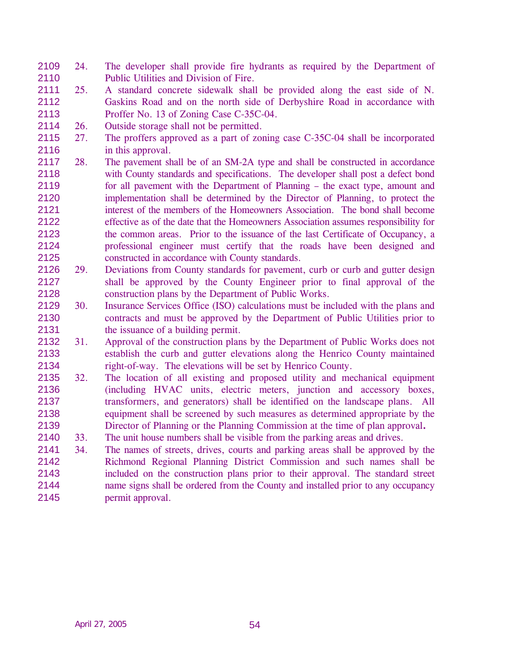- 2109 2110 24. The developer shall provide fire hydrants as required by the Department of Public Utilities and Division of Fire.
- 2111 2112 2113 25. A standard concrete sidewalk shall be provided along the east side of N. Gaskins Road and on the north side of Derbyshire Road in accordance with Proffer No. 13 of Zoning Case C-35C-04.
- 2114 26. Outside storage shall not be permitted.
- 2115 2116 27. The proffers approved as a part of zoning case C-35C-04 shall be incorporated in this approval.
- 2117 2118 2119 2120 2121 2122 2123 2124 2125 28. The pavement shall be of an SM-2A type and shall be constructed in accordance with County standards and specifications. The developer shall post a defect bond for all pavement with the Department of Planning – the exact type, amount and implementation shall be determined by the Director of Planning, to protect the interest of the members of the Homeowners Association. The bond shall become effective as of the date that the Homeowners Association assumes responsibility for the common areas. Prior to the issuance of the last Certificate of Occupancy, a professional engineer must certify that the roads have been designed and constructed in accordance with County standards.
- 2126 2127 2128 29. Deviations from County standards for pavement, curb or curb and gutter design shall be approved by the County Engineer prior to final approval of the construction plans by the Department of Public Works.
- 2129 2130 2131 30. Insurance Services Office (ISO) calculations must be included with the plans and contracts and must be approved by the Department of Public Utilities prior to the issuance of a building permit.
- 2132 2133 2134 31. Approval of the construction plans by the Department of Public Works does not establish the curb and gutter elevations along the Henrico County maintained right-of-way. The elevations will be set by Henrico County.
- 2135 2136 2137 2138 2139 32. The location of all existing and proposed utility and mechanical equipment (including HVAC units, electric meters, junction and accessory boxes, transformers, and generators) shall be identified on the landscape plans. All equipment shall be screened by such measures as determined appropriate by the Director of Planning or the Planning Commission at the time of plan approval**.**
- 2140 33. The unit house numbers shall be visible from the parking areas and drives.
- 2141 2142 2143 2144 2145 34. The names of streets, drives, courts and parking areas shall be approved by the Richmond Regional Planning District Commission and such names shall be included on the construction plans prior to their approval. The standard street name signs shall be ordered from the County and installed prior to any occupancy permit approval.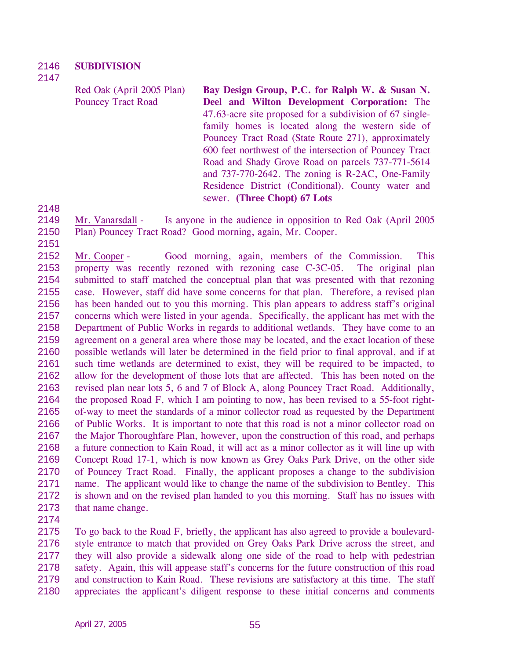### 2146 **SUBDIVISION**

2147

Red Oak (April 2005 Plan) Pouncey Tract Road **Bay Design Group, P.C. for Ralph W. & Susan N. Deel and Wilton Development Corporation:** The 47.63-acre site proposed for a subdivision of 67 singlefamily homes is located along the western side of Pouncey Tract Road (State Route 271), approximately 600 feet northwest of the intersection of Pouncey Tract Road and Shady Grove Road on parcels 737-771-5614 and 737-770-2642. The zoning is R-2AC, One-Family Residence District (Conditional). County water and sewer. **(Three Chopt) 67 Lots** 

2148

2149

2151

2150 Mr. Vanarsdall - Is anyone in the audience in opposition to Red Oak (April 2005 Plan) Pouncey Tract Road? Good morning, again, Mr. Cooper.

2152 2153 2154 2155 2156 2157 2158 2159 2160 2161 2162 2163 2164 2165 2166 2167 2168 2169 2170 2171 2172 2173 Mr. Cooper - Good morning, again, members of the Commission. This property was recently rezoned with rezoning case C-3C-05. The original plan submitted to staff matched the conceptual plan that was presented with that rezoning case. However, staff did have some concerns for that plan. Therefore, a revised plan has been handed out to you this morning. This plan appears to address staff's original concerns which were listed in your agenda. Specifically, the applicant has met with the Department of Public Works in regards to additional wetlands. They have come to an agreement on a general area where those may be located, and the exact location of these possible wetlands will later be determined in the field prior to final approval, and if at such time wetlands are determined to exist, they will be required to be impacted, to allow for the development of those lots that are affected. This has been noted on the revised plan near lots 5, 6 and 7 of Block A, along Pouncey Tract Road. Additionally, the proposed Road F, which I am pointing to now, has been revised to a 55-foot rightof-way to meet the standards of a minor collector road as requested by the Department of Public Works. It is important to note that this road is not a minor collector road on the Major Thoroughfare Plan, however, upon the construction of this road, and perhaps a future connection to Kain Road, it will act as a minor collector as it will line up with Concept Road 17-1, which is now known as Grey Oaks Park Drive, on the other side of Pouncey Tract Road. Finally, the applicant proposes a change to the subdivision name. The applicant would like to change the name of the subdivision to Bentley. This is shown and on the revised plan handed to you this morning. Staff has no issues with that name change.

2174

2175 2176 2177 2178 2179 2180 To go back to the Road F, briefly, the applicant has also agreed to provide a boulevardstyle entrance to match that provided on Grey Oaks Park Drive across the street, and they will also provide a sidewalk along one side of the road to help with pedestrian safety. Again, this will appease staff's concerns for the future construction of this road and construction to Kain Road. These revisions are satisfactory at this time. The staff appreciates the applicant's diligent response to these initial concerns and comments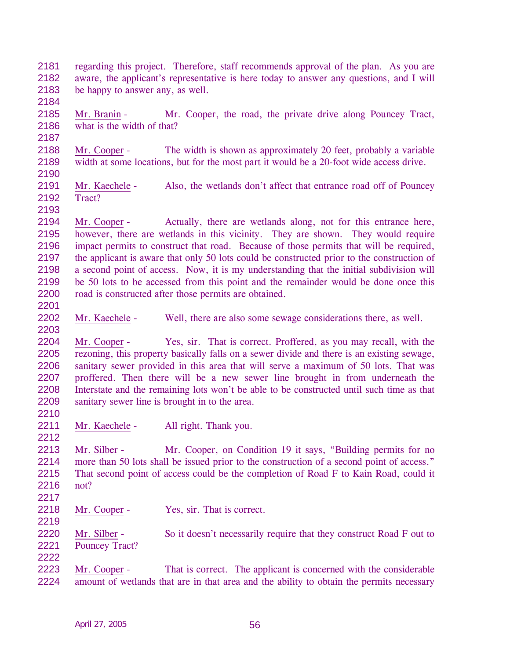- 2181 2182 2183 2184 regarding this project. Therefore, staff recommends approval of the plan. As you are aware, the applicant's representative is here today to answer any questions, and I will be happy to answer any, as well. 2185 Mr. Branin - Mr. Cooper, the road, the private drive along Pouncey Tract,
- 2186 what is the width of that?
- 2187

### 2188 2189 2190 Mr. Cooper - The width is shown as approximately 20 feet, probably a variable width at some locations, but for the most part it would be a 20-foot wide access drive.

- 2191 2192 Mr. Kaechele - Also, the wetlands don't affect that entrance road off of Pouncey Tract?
- 2193

2194 2195 2196 2197 2198 2199 2200 Mr. Cooper - Actually, there are wetlands along, not for this entrance here, however, there are wetlands in this vicinity. They are shown. They would require impact permits to construct that road. Because of those permits that will be required, the applicant is aware that only 50 lots could be constructed prior to the construction of a second point of access. Now, it is my understanding that the initial subdivision will be 50 lots to be accessed from this point and the remainder would be done once this road is constructed after those permits are obtained.

2201

2202 2203 Mr. Kaechele - Well, there are also some sewage considerations there, as well.

2204 2205 2206 2207 2208 2209 Mr. Cooper - Yes, sir. That is correct. Proffered, as you may recall, with the rezoning, this property basically falls on a sewer divide and there is an existing sewage, sanitary sewer provided in this area that will serve a maximum of 50 lots. That was proffered. Then there will be a new sewer line brought in from underneath the Interstate and the remaining lots won't be able to be constructed until such time as that sanitary sewer line is brought in to the area.

2211 Mr. Kaechele - All right. Thank you.

2213 2214 2215 2216 Mr. Silber - Mr. Cooper, on Condition 19 it says, "Building permits for no more than 50 lots shall be issued prior to the construction of a second point of access." That second point of access could be the completion of Road F to Kain Road, could it not?

2217

2210

2212

2218 Mr. Cooper - Yes, sir. That is correct.

2219 2220 Mr. Silber - So it doesn't necessarily require that they construct Road F out to

2221 2222 Pouncey Tract?

2223 2224 Mr. Cooper - That is correct. The applicant is concerned with the considerable amount of wetlands that are in that area and the ability to obtain the permits necessary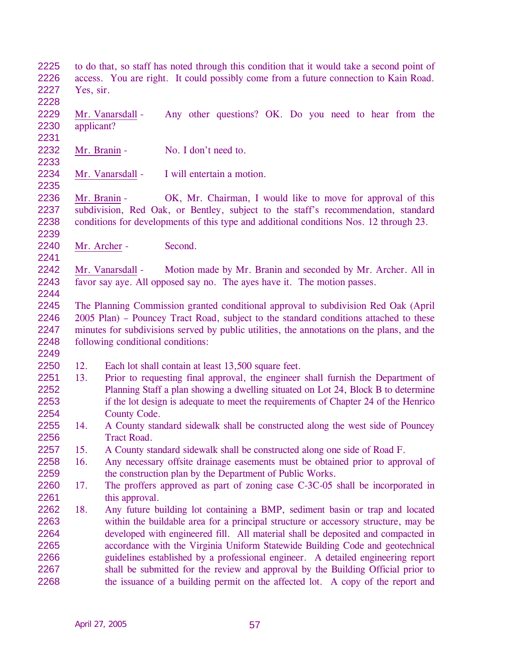2225 2226 2227 to do that, so staff has noted through this condition that it would take a second point of access. You are right. It could possibly come from a future connection to Kain Road. Yes, sir.

2228

2229 2230 Mr. Vanarsdall - Any other questions? OK. Do you need to hear from the applicant?

2231 2232

2233

2235

2239

2241

2244

2249

- Mr. Branin No. I don't need to.
- 2234 Mr. Vanarsdall - I will entertain a motion.

2236 2237 2238 Mr. Branin - OK, Mr. Chairman, I would like to move for approval of this subdivision, Red Oak, or Bentley, subject to the staff's recommendation, standard conditions for developments of this type and additional conditions Nos. 12 through 23.

2240 Mr. Archer - Second.

2242 2243 Mr. Vanarsdall - Motion made by Mr. Branin and seconded by Mr. Archer. All in favor say aye. All opposed say no. The ayes have it. The motion passes.

2245 2246 2247 2248 The Planning Commission granted conditional approval to subdivision Red Oak (April 2005 Plan) – Pouncey Tract Road, subject to the standard conditions attached to these minutes for subdivisions served by public utilities, the annotations on the plans, and the following conditional conditions:

- 2250 12. Each lot shall contain at least 13,500 square feet.
- 2251 2252 2253 2254 13. Prior to requesting final approval, the engineer shall furnish the Department of Planning Staff a plan showing a dwelling situated on Lot 24, Block B to determine if the lot design is adequate to meet the requirements of Chapter 24 of the Henrico County Code.
- 2255 2256 14. A County standard sidewalk shall be constructed along the west side of Pouncey Tract Road.
- 2257 15. A County standard sidewalk shall be constructed along one side of Road F.
- 2258 2259 16. Any necessary offsite drainage easements must be obtained prior to approval of the construction plan by the Department of Public Works.
- 2260 2261 17. The proffers approved as part of zoning case C-3C-05 shall be incorporated in this approval.
- 2262 2263 2264 2265 2266 2267 2268 18. Any future building lot containing a BMP, sediment basin or trap and located within the buildable area for a principal structure or accessory structure, may be developed with engineered fill. All material shall be deposited and compacted in accordance with the Virginia Uniform Statewide Building Code and geotechnical guidelines established by a professional engineer. A detailed engineering report shall be submitted for the review and approval by the Building Official prior to the issuance of a building permit on the affected lot. A copy of the report and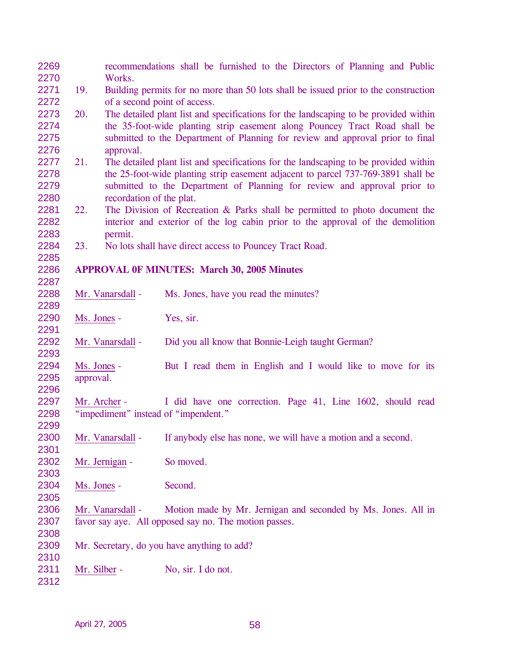| 2269         |                          |                                                                                                                     | recommendations shall be furnished to the Directors of Planning and Public        |  |
|--------------|--------------------------|---------------------------------------------------------------------------------------------------------------------|-----------------------------------------------------------------------------------|--|
| 2270         |                          | Works.                                                                                                              |                                                                                   |  |
| 2271<br>2272 | 19.                      | Building permits for no more than 50 lots shall be issued prior to the construction<br>of a second point of access. |                                                                                   |  |
| 2273         | 20.                      | The detailed plant list and specifications for the landscaping to be provided within                                |                                                                                   |  |
| 2274         |                          | the 35-foot-wide planting strip easement along Pouncey Tract Road shall be                                          |                                                                                   |  |
| 2275         |                          |                                                                                                                     | submitted to the Department of Planning for review and approval prior to final    |  |
| 2276         |                          | approval.                                                                                                           |                                                                                   |  |
| 2277         | 21.                      | The detailed plant list and specifications for the landscaping to be provided within                                |                                                                                   |  |
| 2278         |                          |                                                                                                                     | the 25-foot-wide planting strip easement adjacent to parcel 737-769-3891 shall be |  |
| 2279         |                          |                                                                                                                     | submitted to the Department of Planning for review and approval prior to          |  |
| 2280         |                          | recordation of the plat.                                                                                            |                                                                                   |  |
| 2281         | 22.                      |                                                                                                                     | The Division of Recreation $\&$ Parks shall be permitted to photo document the    |  |
| 2282         |                          |                                                                                                                     | interior and exterior of the log cabin prior to the approval of the demolition    |  |
| 2283         |                          | permit.                                                                                                             |                                                                                   |  |
| 2284         | 23.                      |                                                                                                                     | No lots shall have direct access to Pouncey Tract Road.                           |  |
| 2285         |                          |                                                                                                                     |                                                                                   |  |
| 2286         |                          |                                                                                                                     | <b>APPROVAL OF MINUTES: March 30, 2005 Minutes</b>                                |  |
| 2287         |                          |                                                                                                                     |                                                                                   |  |
| 2288         |                          | Mr. Vanarsdall -                                                                                                    | Ms. Jones, have you read the minutes?                                             |  |
| 2289         |                          |                                                                                                                     |                                                                                   |  |
| 2290<br>2291 | Ms. Jones -              |                                                                                                                     | Yes, sir.                                                                         |  |
| 2292         |                          | Mr. Vanarsdall -                                                                                                    | Did you all know that Bonnie-Leigh taught German?                                 |  |
| 2293         |                          |                                                                                                                     |                                                                                   |  |
| 2294<br>2295 | Ms. Jones -<br>approval. |                                                                                                                     | But I read them in English and I would like to move for its                       |  |
| 2296         |                          |                                                                                                                     |                                                                                   |  |
| 2297         |                          | Mr. Archer -                                                                                                        | I did have one correction. Page 41, Line 1602, should read                        |  |
| 2298         |                          |                                                                                                                     | "impediment" instead of "impendent."                                              |  |
| 2299         |                          |                                                                                                                     |                                                                                   |  |
| 2300         |                          | Mr. Vanarsdall -                                                                                                    | If anybody else has none, we will have a motion and a second.                     |  |
| 2301         |                          |                                                                                                                     |                                                                                   |  |
| 2302         |                          | Mr. Jernigan -                                                                                                      | So moved.                                                                         |  |
| 2303         |                          |                                                                                                                     |                                                                                   |  |
| 2304         | Ms. Jones -              |                                                                                                                     | Second.                                                                           |  |
| 2305         |                          |                                                                                                                     |                                                                                   |  |
| 2306         |                          | Mr. Vanarsdall -                                                                                                    | Motion made by Mr. Jernigan and seconded by Ms. Jones. All in                     |  |
| 2307         |                          |                                                                                                                     | favor say aye. All opposed say no. The motion passes.                             |  |
| 2308         |                          |                                                                                                                     |                                                                                   |  |
| 2309         |                          |                                                                                                                     | Mr. Secretary, do you have anything to add?                                       |  |
| 2310         |                          |                                                                                                                     |                                                                                   |  |
| 2311         | Mr. Silber -             |                                                                                                                     | No, sir. I do not.                                                                |  |
| 2312         |                          |                                                                                                                     |                                                                                   |  |